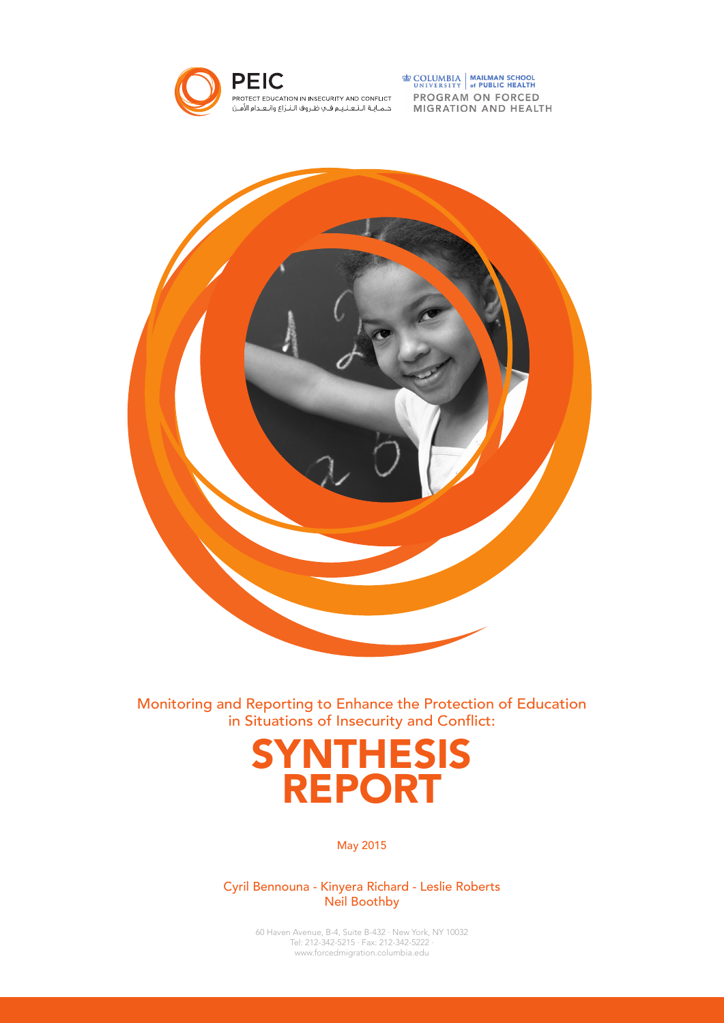

ENCOLUMBIA MAILMAN SCHOOL PROGRAM ON FORCED **MIGRATION AND HEALTH** 



Monitoring and Reporting to Enhance the Protection of Education in Situations of Insecurity and Conflict:

> SYNTHESIS REPORT

> > May 2015

Cyril Bennouna - Kinyera Richard - Leslie Roberts Neil Boothby

> 60 Haven Avenue, B-4, Suite B-432 · New York, NY 10032 Tel: 212-342-5215 · Fax: 212-342-5222 · www.forcedmigration.columbia.edu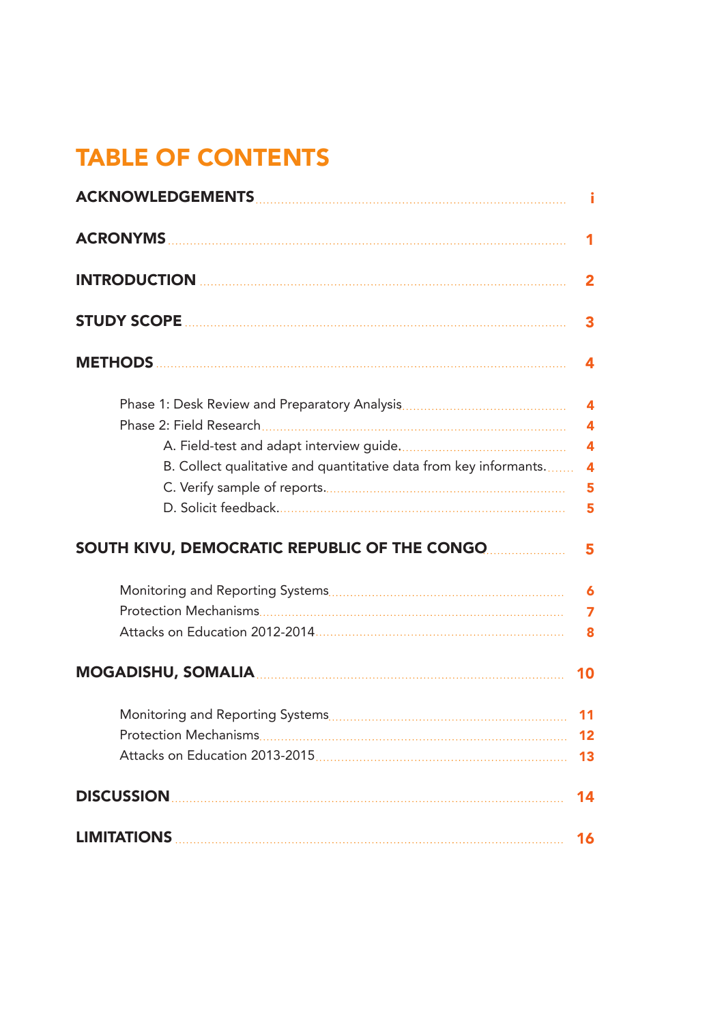# TABLE OF CONTENTS

|                                                                             | $\blacktriangleleft$    |
|-----------------------------------------------------------------------------|-------------------------|
|                                                                             | $\mathbf{2}$            |
|                                                                             | 3                       |
|                                                                             | 4                       |
|                                                                             | $\overline{\mathbf{4}}$ |
|                                                                             | $\overline{\mathbf{4}}$ |
|                                                                             | $\overline{\mathbf{4}}$ |
| B. Collect qualitative and quantitative data from key informants            | 4                       |
|                                                                             | 5                       |
|                                                                             | 5                       |
| SOUTH KIVU, DEMOCRATIC REPUBLIC OF THE CONGO <b>CONGO ALL AND THE CONGO</b> | 5                       |
|                                                                             | $\ddot{\mathbf{6}}$     |
|                                                                             | $\overline{7}$          |
|                                                                             | 8                       |
|                                                                             | 10                      |
|                                                                             |                         |
|                                                                             | 12                      |
|                                                                             | 13                      |
|                                                                             | 14                      |
|                                                                             | 16                      |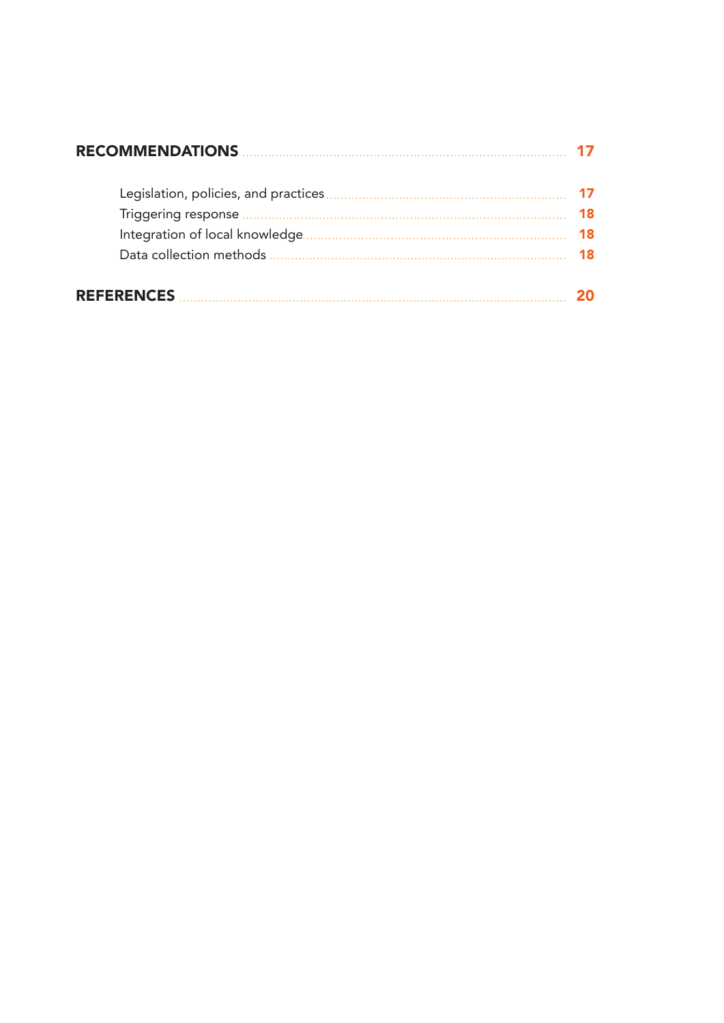|                   | 18 |
|-------------------|----|
|                   | 18 |
|                   |    |
| <b>REFERENCES</b> |    |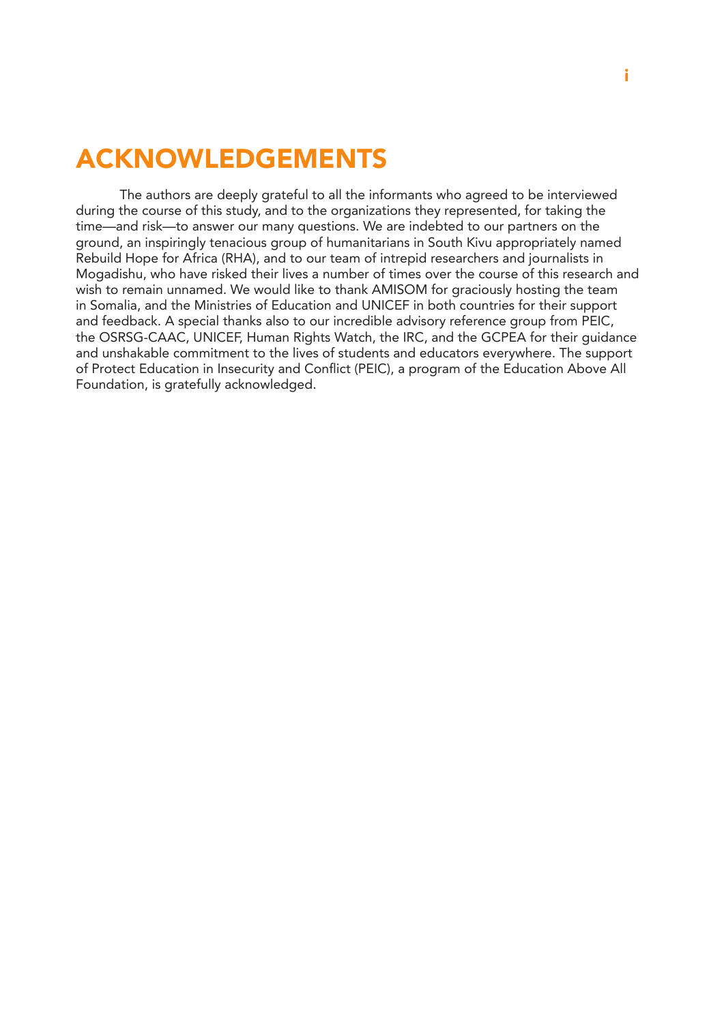## <span id="page-3-0"></span>ACKNOWLEDGEMENTS

The authors are deeply grateful to all the informants who agreed to be interviewed during the course of this study, and to the organizations they represented, for taking the time—and risk—to answer our many questions. We are indebted to our partners on the ground, an inspiringly tenacious group of humanitarians in South Kivu appropriately named Rebuild Hope for Africa (RHA), and to our team of intrepid researchers and journalists in Mogadishu, who have risked their lives a number of times over the course of this research and wish to remain unnamed. We would like to thank AMISOM for graciously hosting the team in Somalia, and the Ministries of Education and UNICEF in both countries for their support and feedback. A special thanks also to our incredible advisory reference group from PEIC, the OSRSG-CAAC, UNICEF, Human Rights Watch, the IRC, and the GCPEA for their guidance and unshakable commitment to the lives of students and educators everywhere. The support of Protect Education in Insecurity and Conflict (PEIC), a program of the Education Above All Foundation, is gratefully acknowledged.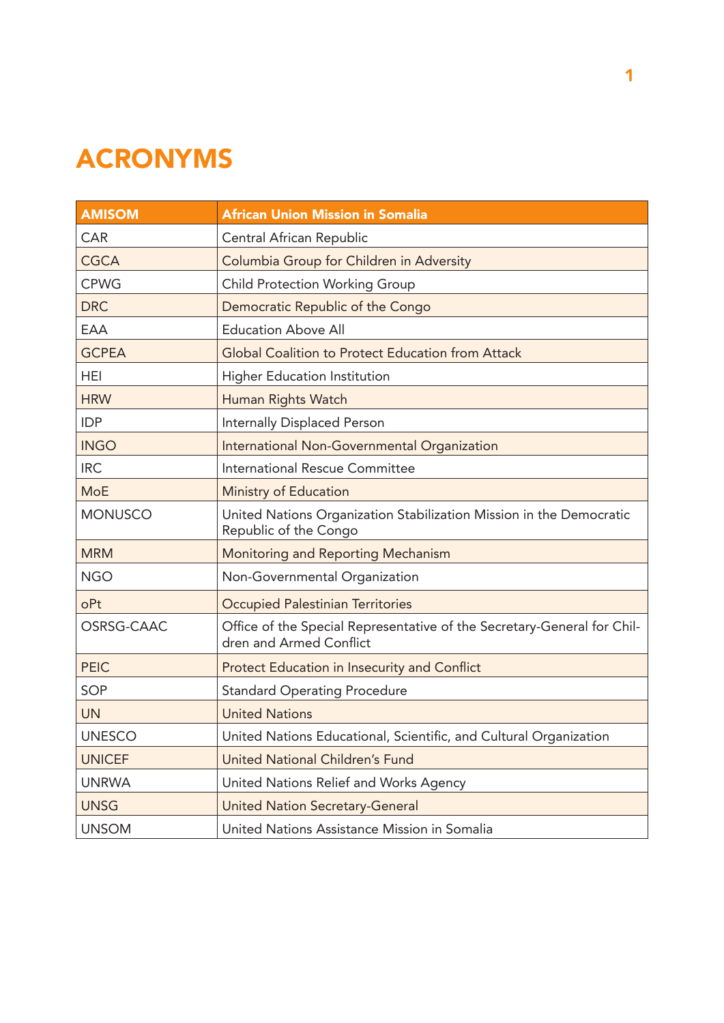# <span id="page-4-0"></span>ACRONYMS

| <b>AMISOM</b>  | <b>African Union Mission in Somalia</b>                                                            |  |  |
|----------------|----------------------------------------------------------------------------------------------------|--|--|
| <b>CAR</b>     | Central African Republic                                                                           |  |  |
| <b>CGCA</b>    | Columbia Group for Children in Adversity                                                           |  |  |
| <b>CPWG</b>    | <b>Child Protection Working Group</b>                                                              |  |  |
| <b>DRC</b>     | Democratic Republic of the Congo                                                                   |  |  |
| EAA            | <b>Education Above All</b>                                                                         |  |  |
| <b>GCPEA</b>   | <b>Global Coalition to Protect Education from Attack</b>                                           |  |  |
| <b>HEI</b>     | <b>Higher Education Institution</b>                                                                |  |  |
| <b>HRW</b>     | Human Rights Watch                                                                                 |  |  |
| <b>IDP</b>     | Internally Displaced Person                                                                        |  |  |
| <b>INGO</b>    | International Non-Governmental Organization                                                        |  |  |
| <b>IRC</b>     | <b>International Rescue Committee</b>                                                              |  |  |
| <b>MoE</b>     | Ministry of Education                                                                              |  |  |
| <b>MONUSCO</b> | United Nations Organization Stabilization Mission in the Democratic<br>Republic of the Congo       |  |  |
| <b>MRM</b>     | Monitoring and Reporting Mechanism                                                                 |  |  |
| <b>NGO</b>     | Non-Governmental Organization                                                                      |  |  |
| oPt            | <b>Occupied Palestinian Territories</b>                                                            |  |  |
| OSRSG-CAAC     | Office of the Special Representative of the Secretary-General for Chil-<br>dren and Armed Conflict |  |  |
| <b>PEIC</b>    | <b>Protect Education in Insecurity and Conflict</b>                                                |  |  |
| SOP            | <b>Standard Operating Procedure</b>                                                                |  |  |
| <b>UN</b>      | <b>United Nations</b>                                                                              |  |  |
| <b>UNESCO</b>  | United Nations Educational, Scientific, and Cultural Organization                                  |  |  |
| <b>UNICEF</b>  | United National Children's Fund                                                                    |  |  |
| <b>UNRWA</b>   | United Nations Relief and Works Agency                                                             |  |  |
| <b>UNSG</b>    | <b>United Nation Secretary-General</b>                                                             |  |  |
| <b>UNSOM</b>   | United Nations Assistance Mission in Somalia                                                       |  |  |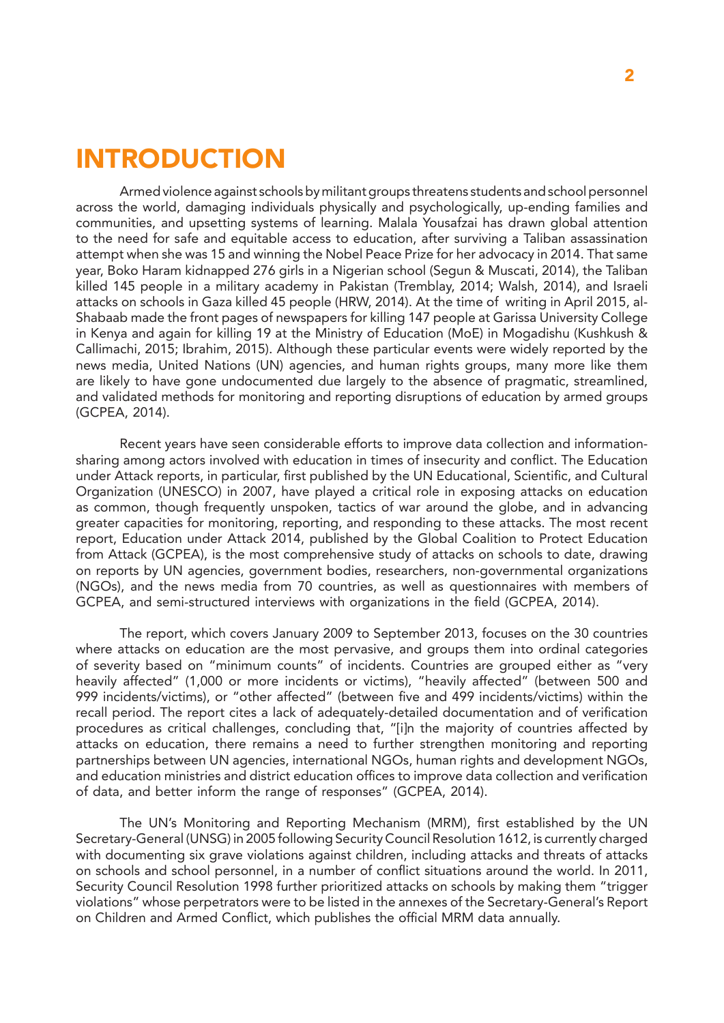### <span id="page-5-0"></span>INTRODUCTION

Armed violence against schools by militant groups threatens students and school personnel across the world, damaging individuals physically and psychologically, up-ending families and communities, and upsetting systems of learning. Malala Yousafzai has drawn global attention to the need for safe and equitable access to education, after surviving a Taliban assassination attempt when she was 15 and winning the Nobel Peace Prize for her advocacy in 2014. That same year, Boko Haram kidnapped 276 girls in a Nigerian school (Segun & Muscati, 2014), the Taliban killed 145 people in a military academy in Pakistan (Tremblay, 2014; Walsh, 2014), and Israeli attacks on schools in Gaza killed 45 people (HRW, 2014). At the time of writing in April 2015, al-Shabaab made the front pages of newspapers for killing 147 people at Garissa University College in Kenya and again for killing 19 at the Ministry of Education (MoE) in Mogadishu (Kushkush & Callimachi, 2015; Ibrahim, 2015). Although these particular events were widely reported by the news media, United Nations (UN) agencies, and human rights groups, many more like them are likely to have gone undocumented due largely to the absence of pragmatic, streamlined, and validated methods for monitoring and reporting disruptions of education by armed groups (GCPEA, 2014).

Recent years have seen considerable efforts to improve data collection and informationsharing among actors involved with education in times of insecurity and conflict. The Education under Attack reports, in particular, first published by the UN Educational, Scientific, and Cultural Organization (UNESCO) in 2007, have played a critical role in exposing attacks on education as common, though frequently unspoken, tactics of war around the globe, and in advancing greater capacities for monitoring, reporting, and responding to these attacks. The most recent report, Education under Attack 2014, published by the Global Coalition to Protect Education from Attack (GCPEA), is the most comprehensive study of attacks on schools to date, drawing on reports by UN agencies, government bodies, researchers, non-governmental organizations (NGOs), and the news media from 70 countries, as well as questionnaires with members of GCPEA, and semi-structured interviews with organizations in the field (GCPEA, 2014).

The report, which covers January 2009 to September 2013, focuses on the 30 countries where attacks on education are the most pervasive, and groups them into ordinal categories of severity based on "minimum counts" of incidents. Countries are grouped either as "very heavily affected" (1,000 or more incidents or victims), "heavily affected" (between 500 and 999 incidents/victims), or "other affected" (between five and 499 incidents/victims) within the recall period. The report cites a lack of adequately-detailed documentation and of verification procedures as critical challenges, concluding that, "[i]n the majority of countries affected by attacks on education, there remains a need to further strengthen monitoring and reporting partnerships between UN agencies, international NGOs, human rights and development NGOs, and education ministries and district education offices to improve data collection and verification of data, and better inform the range of responses" (GCPEA, 2014).

The UN's Monitoring and Reporting Mechanism (MRM), first established by the UN Secretary-General (UNSG) in 2005 following Security Council Resolution 1612, is currently charged with documenting six grave violations against children, including attacks and threats of attacks on schools and school personnel, in a number of conflict situations around the world. In 2011, Security Council Resolution 1998 further prioritized attacks on schools by making them "trigger violations" whose perpetrators were to be listed in the annexes of the Secretary-General's Report on Children and Armed Conflict, which publishes the official MRM data annually.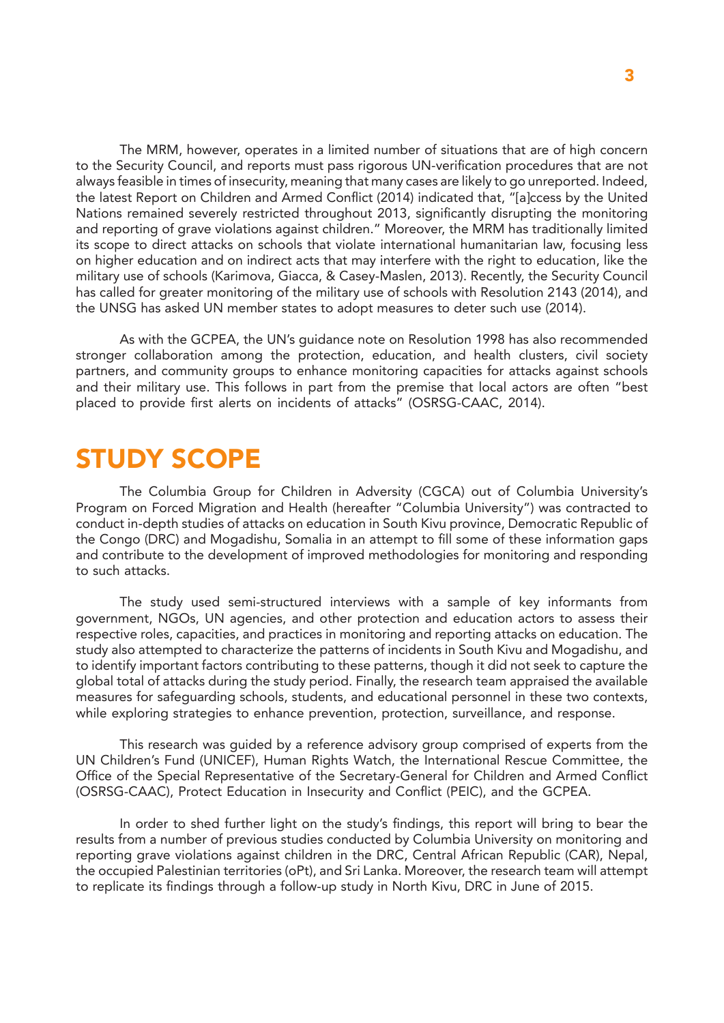<span id="page-6-0"></span>The MRM, however, operates in a limited number of situations that are of high concern to the Security Council, and reports must pass rigorous UN-verification procedures that are not always feasible in times of insecurity, meaning that many cases are likely to go unreported. Indeed, the latest Report on Children and Armed Conflict (2014) indicated that, "[a]ccess by the United Nations remained severely restricted throughout 2013, significantly disrupting the monitoring and reporting of grave violations against children." Moreover, the MRM has traditionally limited its scope to direct attacks on schools that violate international humanitarian law, focusing less on higher education and on indirect acts that may interfere with the right to education, like the military use of schools (Karimova, Giacca, & Casey-Maslen, 2013). Recently, the Security Council has called for greater monitoring of the military use of schools with Resolution 2143 (2014), and the UNSG has asked UN member states to adopt measures to deter such use (2014).

As with the GCPEA, the UN's guidance note on Resolution 1998 has also recommended stronger collaboration among the protection, education, and health clusters, civil society partners, and community groups to enhance monitoring capacities for attacks against schools and their military use. This follows in part from the premise that local actors are often "best placed to provide first alerts on incidents of attacks" (OSRSG-CAAC, 2014).

### STUDY SCOPE

The Columbia Group for Children in Adversity (CGCA) out of Columbia University's Program on Forced Migration and Health (hereafter "Columbia University") was contracted to conduct in-depth studies of attacks on education in South Kivu province, Democratic Republic of the Congo (DRC) and Mogadishu, Somalia in an attempt to fill some of these information gaps and contribute to the development of improved methodologies for monitoring and responding to such attacks.

The study used semi-structured interviews with a sample of key informants from government, NGOs, UN agencies, and other protection and education actors to assess their respective roles, capacities, and practices in monitoring and reporting attacks on education. The study also attempted to characterize the patterns of incidents in South Kivu and Mogadishu, and to identify important factors contributing to these patterns, though it did not seek to capture the global total of attacks during the study period. Finally, the research team appraised the available measures for safeguarding schools, students, and educational personnel in these two contexts, while exploring strategies to enhance prevention, protection, surveillance, and response.

This research was guided by a reference advisory group comprised of experts from the UN Children's Fund (UNICEF), Human Rights Watch, the International Rescue Committee, the Office of the Special Representative of the Secretary-General for Children and Armed Conflict (OSRSG-CAAC), Protect Education in Insecurity and Conflict (PEIC), and the GCPEA.

In order to shed further light on the study's findings, this report will bring to bear the results from a number of previous studies conducted by Columbia University on monitoring and reporting grave violations against children in the DRC, Central African Republic (CAR), Nepal, the occupied Palestinian territories (oPt), and Sri Lanka. Moreover, the research team will attempt to replicate its findings through a follow-up study in North Kivu, DRC in June of 2015.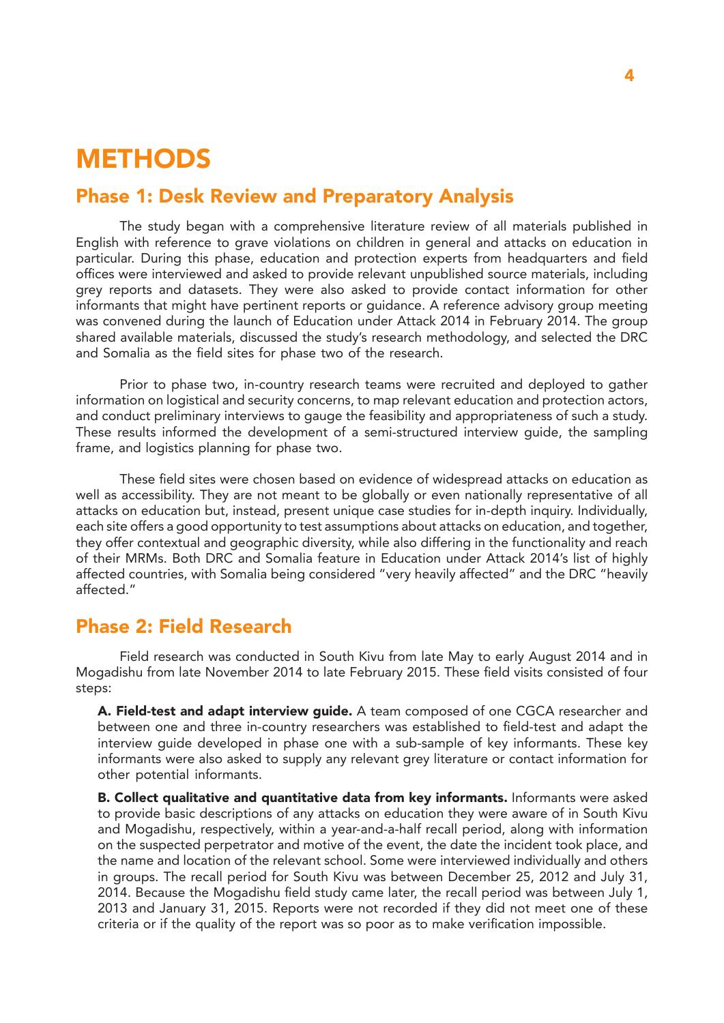### <span id="page-7-0"></span>**METHODS**

#### Phase 1: Desk Review and Preparatory Analysis

The study began with a comprehensive literature review of all materials published in English with reference to grave violations on children in general and attacks on education in particular. During this phase, education and protection experts from headquarters and field offices were interviewed and asked to provide relevant unpublished source materials, including grey reports and datasets. They were also asked to provide contact information for other informants that might have pertinent reports or guidance. A reference advisory group meeting was convened during the launch of Education under Attack 2014 in February 2014. The group shared available materials, discussed the study's research methodology, and selected the DRC and Somalia as the field sites for phase two of the research.

Prior to phase two, in-country research teams were recruited and deployed to gather information on logistical and security concerns, to map relevant education and protection actors, and conduct preliminary interviews to gauge the feasibility and appropriateness of such a study. These results informed the development of a semi-structured interview guide, the sampling frame, and logistics planning for phase two.

These field sites were chosen based on evidence of widespread attacks on education as well as accessibility. They are not meant to be globally or even nationally representative of all attacks on education but, instead, present unique case studies for in-depth inquiry. Individually, each site offers a good opportunity to test assumptions about attacks on education, and together, they offer contextual and geographic diversity, while also differing in the functionality and reach of their MRMs. Both DRC and Somalia feature in Education under Attack 2014's list of highly affected countries, with Somalia being considered "very heavily affected" and the DRC "heavily affected."

#### Phase 2: Field Research

Field research was conducted in South Kivu from late May to early August 2014 and in Mogadishu from late November 2014 to late February 2015. These field visits consisted of four steps:

A. Field-test and adapt interview guide. A team composed of one CGCA researcher and between one and three in-country researchers was established to field-test and adapt the interview guide developed in phase one with a sub-sample of key informants. These key informants were also asked to supply any relevant grey literature or contact information for other potential informants.

B. Collect qualitative and quantitative data from key informants. Informants were asked to provide basic descriptions of any attacks on education they were aware of in South Kivu and Mogadishu, respectively, within a year-and-a-half recall period, along with information on the suspected perpetrator and motive of the event, the date the incident took place, and the name and location of the relevant school. Some were interviewed individually and others in groups. The recall period for South Kivu was between December 25, 2012 and July 31, 2014. Because the Mogadishu field study came later, the recall period was between July 1, 2013 and January 31, 2015. Reports were not recorded if they did not meet one of these criteria or if the quality of the report was so poor as to make verification impossible.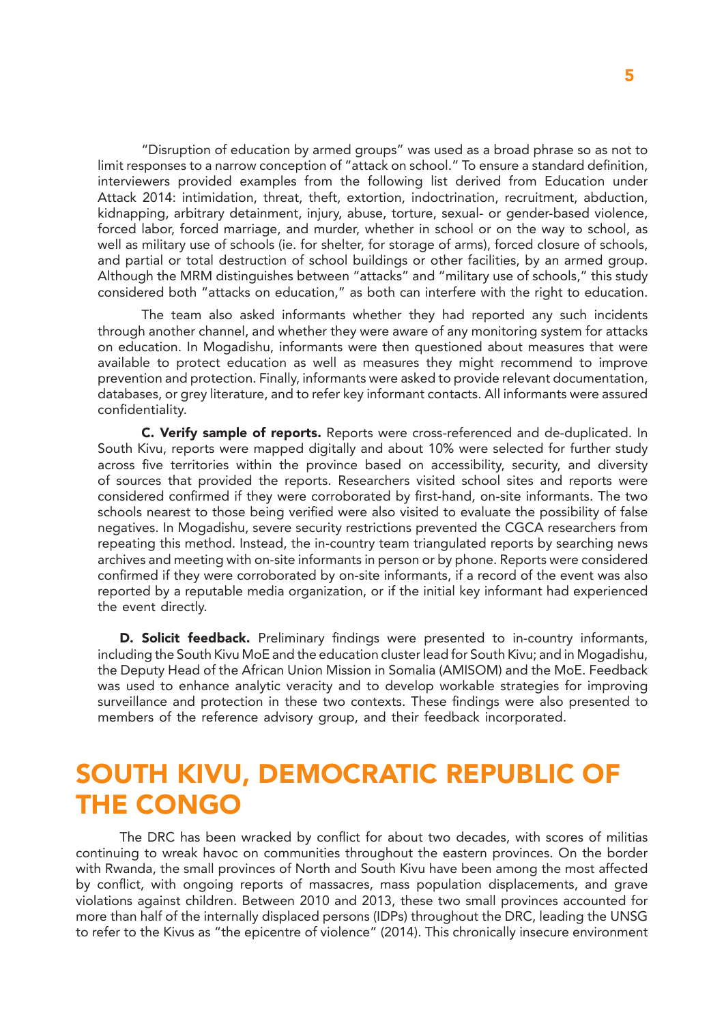<span id="page-8-0"></span>"Disruption of education by armed groups" was used as a broad phrase so as not to limit responses to a narrow conception of "attack on school." To ensure a standard definition, interviewers provided examples from the following list derived from Education under Attack 2014: intimidation, threat, theft, extortion, indoctrination, recruitment, abduction, kidnapping, arbitrary detainment, injury, abuse, torture, sexual- or gender-based violence, forced labor, forced marriage, and murder, whether in school or on the way to school, as well as military use of schools (ie. for shelter, for storage of arms), forced closure of schools, and partial or total destruction of school buildings or other facilities, by an armed group. Although the MRM distinguishes between "attacks" and "military use of schools," this study considered both "attacks on education," as both can interfere with the right to education.

The team also asked informants whether they had reported any such incidents through another channel, and whether they were aware of any monitoring system for attacks on education. In Mogadishu, informants were then questioned about measures that were available to protect education as well as measures they might recommend to improve prevention and protection. Finally, informants were asked to provide relevant documentation, databases, or grey literature, and to refer key informant contacts. All informants were assured confidentiality.

C. Verify sample of reports. Reports were cross-referenced and de-duplicated. In South Kivu, reports were mapped digitally and about 10% were selected for further study across five territories within the province based on accessibility, security, and diversity of sources that provided the reports. Researchers visited school sites and reports were considered confirmed if they were corroborated by first-hand, on-site informants. The two schools nearest to those being verified were also visited to evaluate the possibility of false negatives. In Mogadishu, severe security restrictions prevented the CGCA researchers from repeating this method. Instead, the in-country team triangulated reports by searching news archives and meeting with on-site informants in person or by phone. Reports were considered confirmed if they were corroborated by on-site informants, if a record of the event was also reported by a reputable media organization, or if the initial key informant had experienced the event directly.

D. Solicit feedback. Preliminary findings were presented to in-country informants, including the South Kivu MoE and the education cluster lead for South Kivu; and in Mogadishu, the Deputy Head of the African Union Mission in Somalia (AMISOM) and the MoE. Feedback was used to enhance analytic veracity and to develop workable strategies for improving surveillance and protection in these two contexts. These findings were also presented to members of the reference advisory group, and their feedback incorporated.

### SOUTH KIVU, DEMOCRATIC REPUBLIC OF THE CONGO

The DRC has been wracked by conflict for about two decades, with scores of militias continuing to wreak havoc on communities throughout the eastern provinces. On the border with Rwanda, the small provinces of North and South Kivu have been among the most affected by conflict, with ongoing reports of massacres, mass population displacements, and grave violations against children. Between 2010 and 2013, these two small provinces accounted for more than half of the internally displaced persons (IDPs) throughout the DRC, leading the UNSG to refer to the Kivus as "the epicentre of violence" (2014). This chronically insecure environment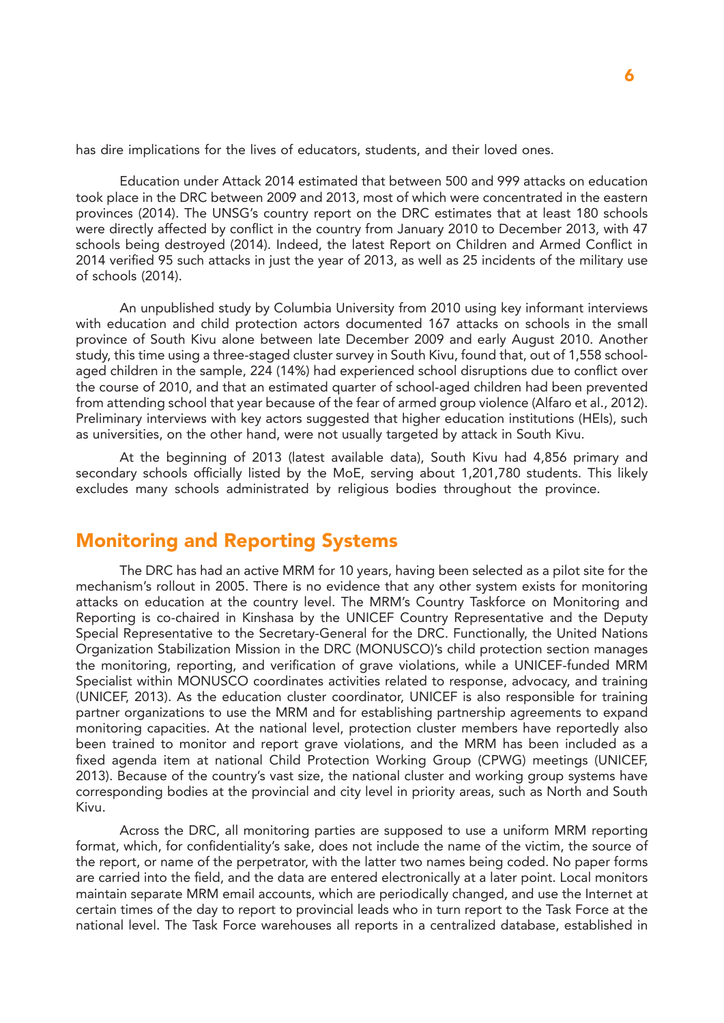<span id="page-9-0"></span>has dire implications for the lives of educators, students, and their loved ones.

Education under Attack 2014 estimated that between 500 and 999 attacks on education took place in the DRC between 2009 and 2013, most of which were concentrated in the eastern provinces (2014). The UNSG's country report on the DRC estimates that at least 180 schools were directly affected by conflict in the country from January 2010 to December 2013, with 47 schools being destroyed (2014). Indeed, the latest Report on Children and Armed Conflict in 2014 verified 95 such attacks in just the year of 2013, as well as 25 incidents of the military use of schools (2014).

An unpublished study by Columbia University from 2010 using key informant interviews with education and child protection actors documented 167 attacks on schools in the small province of South Kivu alone between late December 2009 and early August 2010. Another study, this time using a three-staged cluster survey in South Kivu, found that, out of 1,558 schoolaged children in the sample, 224 (14%) had experienced school disruptions due to conflict over the course of 2010, and that an estimated quarter of school-aged children had been prevented from attending school that year because of the fear of armed group violence (Alfaro et al., 2012). Preliminary interviews with key actors suggested that higher education institutions (HEIs), such as universities, on the other hand, were not usually targeted by attack in South Kivu.

At the beginning of 2013 (latest available data), South Kivu had 4,856 primary and secondary schools officially listed by the MoE, serving about 1,201,780 students. This likely excludes many schools administrated by religious bodies throughout the province.

#### Monitoring and Reporting Systems

The DRC has had an active MRM for 10 years, having been selected as a pilot site for the mechanism's rollout in 2005. There is no evidence that any other system exists for monitoring attacks on education at the country level. The MRM's Country Taskforce on Monitoring and Reporting is co-chaired in Kinshasa by the UNICEF Country Representative and the Deputy Special Representative to the Secretary-General for the DRC. Functionally, the United Nations Organization Stabilization Mission in the DRC (MONUSCO)'s child protection section manages the monitoring, reporting, and verification of grave violations, while a UNICEF-funded MRM Specialist within MONUSCO coordinates activities related to response, advocacy, and training (UNICEF, 2013). As the education cluster coordinator, UNICEF is also responsible for training partner organizations to use the MRM and for establishing partnership agreements to expand monitoring capacities. At the national level, protection cluster members have reportedly also been trained to monitor and report grave violations, and the MRM has been included as a fixed agenda item at national Child Protection Working Group (CPWG) meetings (UNICEF, 2013). Because of the country's vast size, the national cluster and working group systems have corresponding bodies at the provincial and city level in priority areas, such as North and South Kivu.

Across the DRC, all monitoring parties are supposed to use a uniform MRM reporting format, which, for confidentiality's sake, does not include the name of the victim, the source of the report, or name of the perpetrator, with the latter two names being coded. No paper forms are carried into the field, and the data are entered electronically at a later point. Local monitors maintain separate MRM email accounts, which are periodically changed, and use the Internet at certain times of the day to report to provincial leads who in turn report to the Task Force at the national level. The Task Force warehouses all reports in a centralized database, established in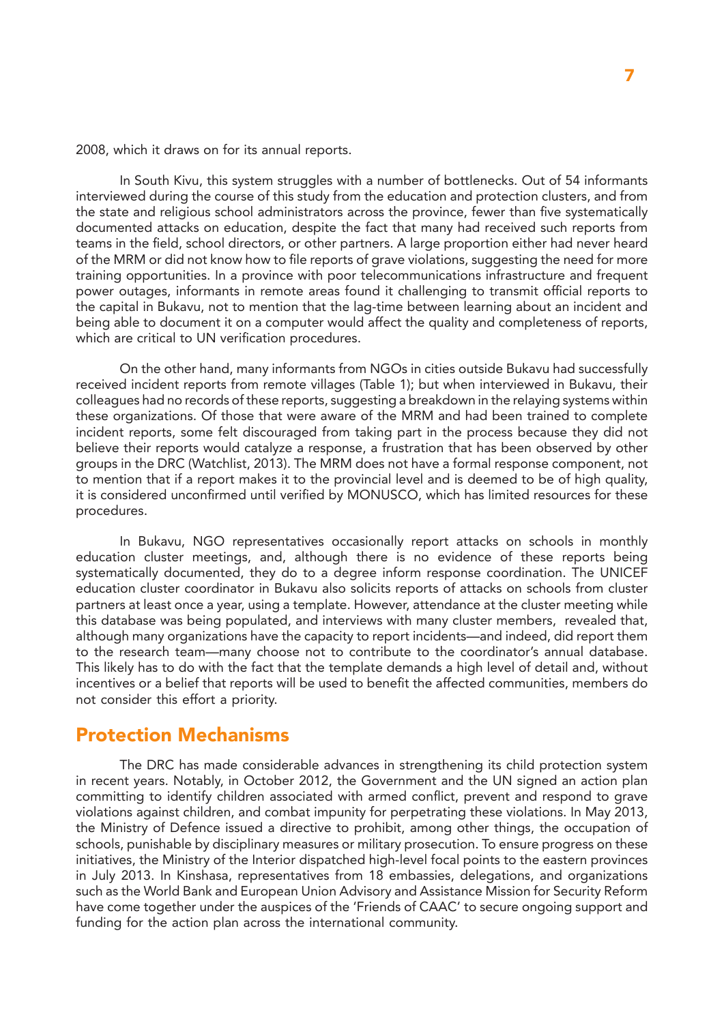<span id="page-10-0"></span>2008, which it draws on for its annual reports.

In South Kivu, this system struggles with a number of bottlenecks. Out of 54 informants interviewed during the course of this study from the education and protection clusters, and from the state and religious school administrators across the province, fewer than five systematically documented attacks on education, despite the fact that many had received such reports from teams in the field, school directors, or other partners. A large proportion either had never heard of the MRM or did not know how to file reports of grave violations, suggesting the need for more training opportunities. In a province with poor telecommunications infrastructure and frequent power outages, informants in remote areas found it challenging to transmit official reports to the capital in Bukavu, not to mention that the lag-time between learning about an incident and being able to document it on a computer would affect the quality and completeness of reports, which are critical to UN verification procedures.

On the other hand, many informants from NGOs in cities outside Bukavu had successfully received incident reports from remote villages (Table 1); but when interviewed in Bukavu, their colleagues had no records of these reports, suggesting a breakdown in the relaying systems within these organizations. Of those that were aware of the MRM and had been trained to complete incident reports, some felt discouraged from taking part in the process because they did not believe their reports would catalyze a response, a frustration that has been observed by other groups in the DRC (Watchlist, 2013). The MRM does not have a formal response component, not to mention that if a report makes it to the provincial level and is deemed to be of high quality, it is considered unconfirmed until verified by MONUSCO, which has limited resources for these procedures.

In Bukavu, NGO representatives occasionally report attacks on schools in monthly education cluster meetings, and, although there is no evidence of these reports being systematically documented, they do to a degree inform response coordination. The UNICEF education cluster coordinator in Bukavu also solicits reports of attacks on schools from cluster partners at least once a year, using a template. However, attendance at the cluster meeting while this database was being populated, and interviews with many cluster members, revealed that, although many organizations have the capacity to report incidents—and indeed, did report them to the research team—many choose not to contribute to the coordinator's annual database. This likely has to do with the fact that the template demands a high level of detail and, without incentives or a belief that reports will be used to benefit the affected communities, members do not consider this effort a priority.

#### Protection Mechanisms

The DRC has made considerable advances in strengthening its child protection system in recent years. Notably, in October 2012, the Government and the UN signed an action plan committing to identify children associated with armed conflict, prevent and respond to grave violations against children, and combat impunity for perpetrating these violations. In May 2013, the Ministry of Defence issued a directive to prohibit, among other things, the occupation of schools, punishable by disciplinary measures or military prosecution. To ensure progress on these initiatives, the Ministry of the Interior dispatched high-level focal points to the eastern provinces in July 2013. In Kinshasa, representatives from 18 embassies, delegations, and organizations such as the World Bank and European Union Advisory and Assistance Mission for Security Reform have come together under the auspices of the 'Friends of CAAC' to secure ongoing support and funding for the action plan across the international community.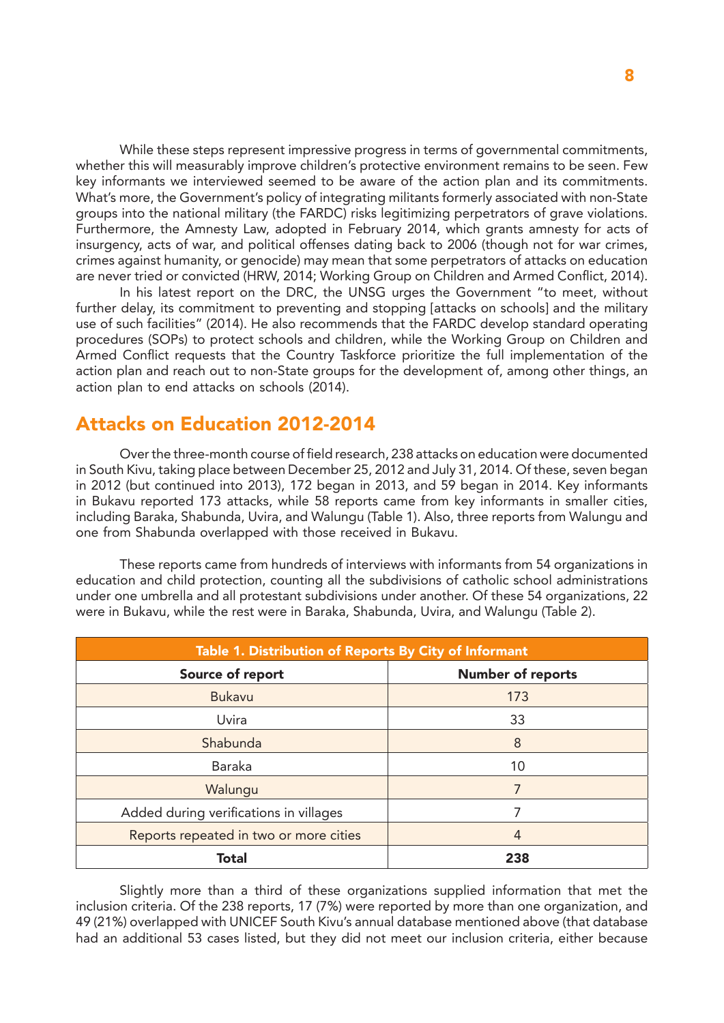<span id="page-11-0"></span>While these steps represent impressive progress in terms of governmental commitments, whether this will measurably improve children's protective environment remains to be seen. Few key informants we interviewed seemed to be aware of the action plan and its commitments. What's more, the Government's policy of integrating militants formerly associated with non-State groups into the national military (the FARDC) risks legitimizing perpetrators of grave violations. Furthermore, the Amnesty Law, adopted in February 2014, which grants amnesty for acts of insurgency, acts of war, and political offenses dating back to 2006 (though not for war crimes, crimes against humanity, or genocide) may mean that some perpetrators of attacks on education are never tried or convicted (HRW, 2014; Working Group on Children and Armed Conflict, 2014).

In his latest report on the DRC, the UNSG urges the Government "to meet, without further delay, its commitment to preventing and stopping [attacks on schools] and the military use of such facilities" (2014). He also recommends that the FARDC develop standard operating procedures (SOPs) to protect schools and children, while the Working Group on Children and Armed Conflict requests that the Country Taskforce prioritize the full implementation of the action plan and reach out to non-State groups for the development of, among other things, an action plan to end attacks on schools (2014).

#### Attacks on Education 2012-2014

Over the three-month course of field research, 238 attacks on education were documented in South Kivu, taking place between December 25, 2012 and July 31, 2014. Of these, seven began in 2012 (but continued into 2013), 172 began in 2013, and 59 began in 2014. Key informants in Bukavu reported 173 attacks, while 58 reports came from key informants in smaller cities, including Baraka, Shabunda, Uvira, and Walungu (Table 1). Also, three reports from Walungu and one from Shabunda overlapped with those received in Bukavu.

These reports came from hundreds of interviews with informants from 54 organizations in education and child protection, counting all the subdivisions of catholic school administrations under one umbrella and all protestant subdivisions under another. Of these 54 organizations, 22 were in Bukavu, while the rest were in Baraka, Shabunda, Uvira, and Walungu (Table 2).

| Table 1. Distribution of Reports By City of Informant |                          |  |  |
|-------------------------------------------------------|--------------------------|--|--|
| Source of report                                      | <b>Number of reports</b> |  |  |
| <b>Bukavu</b>                                         | 173                      |  |  |
| Uvira                                                 | 33                       |  |  |
| Shabunda                                              | 8                        |  |  |
| <b>Baraka</b>                                         | 10                       |  |  |
| Walungu                                               | 7                        |  |  |
| Added during verifications in villages                |                          |  |  |
| Reports repeated in two or more cities                | 4                        |  |  |
| <b>Total</b>                                          | 238                      |  |  |

Slightly more than a third of these organizations supplied information that met the inclusion criteria. Of the 238 reports, 17 (7%) were reported by more than one organization, and 49 (21%) overlapped with UNICEF South Kivu's annual database mentioned above (that database had an additional 53 cases listed, but they did not meet our inclusion criteria, either because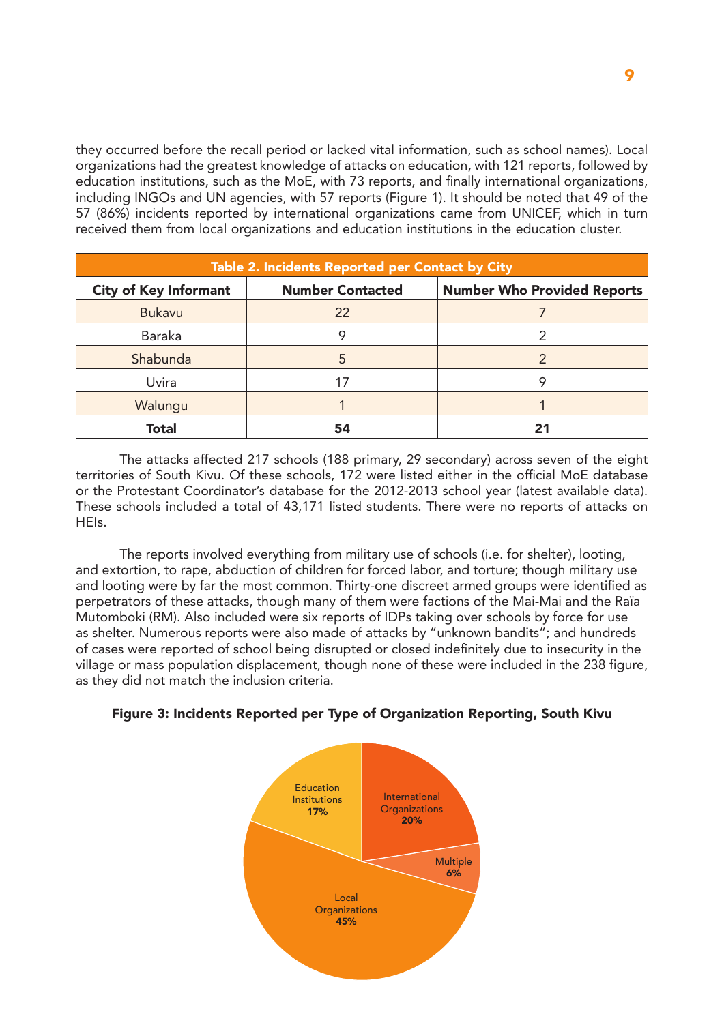they occurred before the recall period or lacked vital information, such as school names). Local organizations had the greatest knowledge of attacks on education, with 121 reports, followed by education institutions, such as the MoE, with 73 reports, and finally international organizations, including INGOs and UN agencies, with 57 reports (Figure 1). It should be noted that 49 of the 57 (86%) incidents reported by international organizations came from UNICEF, which in turn received them from local organizations and education institutions in the education cluster.

| Table 2. Incidents Reported per Contact by City |                         |                             |  |  |
|-------------------------------------------------|-------------------------|-----------------------------|--|--|
| <b>City of Key Informant</b>                    | <b>Number Contacted</b> | Number Who Provided Reports |  |  |
| <b>Bukavu</b>                                   | 22                      |                             |  |  |
| <b>Baraka</b>                                   |                         |                             |  |  |
| Shabunda                                        | 5                       |                             |  |  |
| Uvira                                           | 17                      |                             |  |  |
| Walungu                                         |                         |                             |  |  |
| <b>Total</b>                                    | 54                      |                             |  |  |

The attacks affected 217 schools (188 primary, 29 secondary) across seven of the eight territories of South Kivu. Of these schools, 172 were listed either in the official MoE database or the Protestant Coordinator's database for the 2012-2013 school year (latest available data). These schools included a total of 43,171 listed students. There were no reports of attacks on HEIs.

The reports involved everything from military use of schools (i.e. for shelter), looting, and extortion, to rape, abduction of children for forced labor, and torture; though military use and looting were by far the most common. Thirty-one discreet armed groups were identified as perpetrators of these attacks, though many of them were factions of the Mai-Mai and the Raïa Mutomboki (RM). Also included were six reports of IDPs taking over schools by force for use as shelter. Numerous reports were also made of attacks by "unknown bandits"; and hundreds of cases were reported of school being disrupted or closed indefinitely due to insecurity in the village or mass population displacement, though none of these were included in the 238 figure, as they did not match the inclusion criteria.



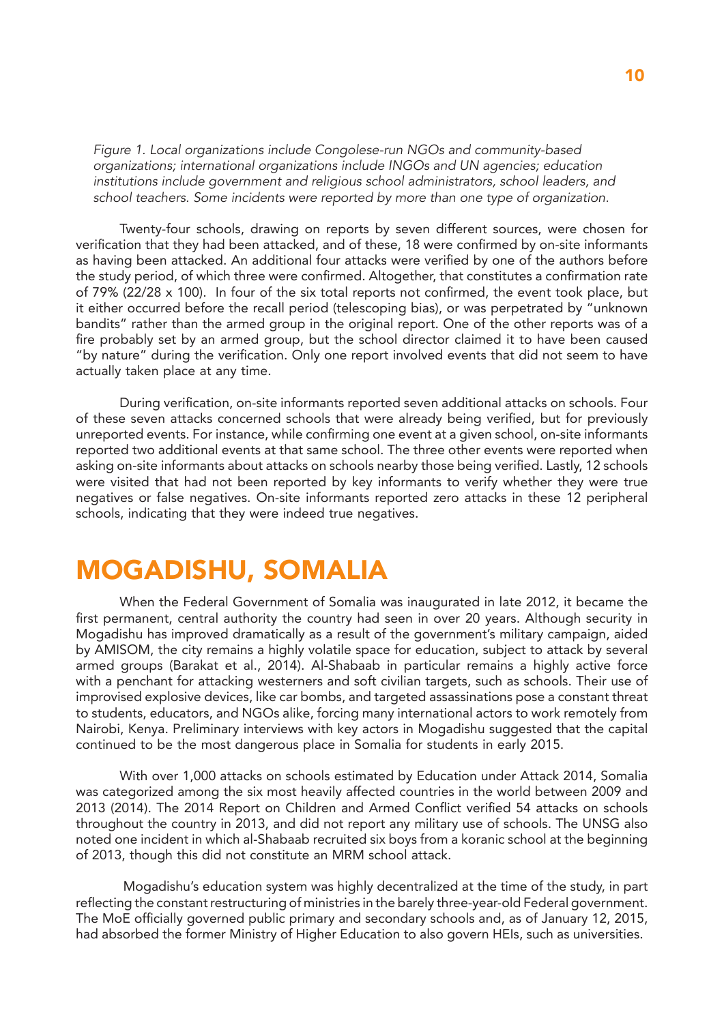<span id="page-13-0"></span>*Figure 1. Local organizations include Congolese-run NGOs and community-based organizations; international organizations include INGOs and UN agencies; education institutions include government and religious school administrators, school leaders, and school teachers. Some incidents were reported by more than one type of organization.*

Twenty-four schools, drawing on reports by seven different sources, were chosen for verification that they had been attacked, and of these, 18 were confirmed by on-site informants as having been attacked. An additional four attacks were verified by one of the authors before the study period, of which three were confirmed. Altogether, that constitutes a confirmation rate of 79% (22/28 x 100). In four of the six total reports not confirmed, the event took place, but it either occurred before the recall period (telescoping bias), or was perpetrated by "unknown bandits" rather than the armed group in the original report. One of the other reports was of a fire probably set by an armed group, but the school director claimed it to have been caused "by nature" during the verification. Only one report involved events that did not seem to have actually taken place at any time.

During verification, on-site informants reported seven additional attacks on schools. Four of these seven attacks concerned schools that were already being verified, but for previously unreported events. For instance, while confirming one event at a given school, on-site informants reported two additional events at that same school. The three other events were reported when asking on-site informants about attacks on schools nearby those being verified. Lastly, 12 schools were visited that had not been reported by key informants to verify whether they were true negatives or false negatives. On-site informants reported zero attacks in these 12 peripheral schools, indicating that they were indeed true negatives.

### MOGADISHU, SOMALIA

When the Federal Government of Somalia was inaugurated in late 2012, it became the first permanent, central authority the country had seen in over 20 years. Although security in Mogadishu has improved dramatically as a result of the government's military campaign, aided by AMISOM, the city remains a highly volatile space for education, subject to attack by several armed groups (Barakat et al., 2014). Al-Shabaab in particular remains a highly active force with a penchant for attacking westerners and soft civilian targets, such as schools. Their use of improvised explosive devices, like car bombs, and targeted assassinations pose a constant threat to students, educators, and NGOs alike, forcing many international actors to work remotely from Nairobi, Kenya. Preliminary interviews with key actors in Mogadishu suggested that the capital continued to be the most dangerous place in Somalia for students in early 2015.

With over 1,000 attacks on schools estimated by Education under Attack 2014, Somalia was categorized among the six most heavily affected countries in the world between 2009 and 2013 (2014). The 2014 Report on Children and Armed Conflict verified 54 attacks on schools throughout the country in 2013, and did not report any military use of schools. The UNSG also noted one incident in which al-Shabaab recruited six boys from a koranic school at the beginning of 2013, though this did not constitute an MRM school attack.

 Mogadishu's education system was highly decentralized at the time of the study, in part reflecting the constant restructuring of ministries in the barely three-year-old Federal government. The MoE officially governed public primary and secondary schools and, as of January 12, 2015, had absorbed the former Ministry of Higher Education to also govern HEIs, such as universities.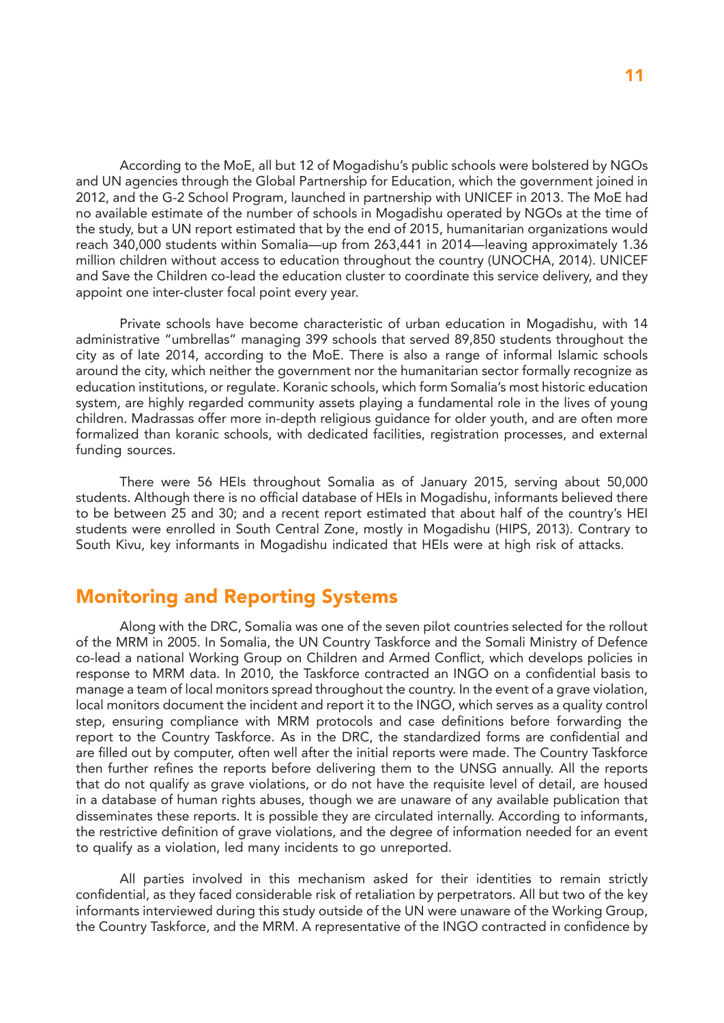<span id="page-14-0"></span>According to the MoE, all but 12 of Mogadishu's public schools were bolstered by NGOs and UN agencies through the Global Partnership for Education, which the government joined in 2012, and the G-2 School Program, launched in partnership with UNICEF in 2013. The MoE had no available estimate of the number of schools in Mogadishu operated by NGOs at the time of the study, but a UN report estimated that by the end of 2015, humanitarian organizations would reach 340,000 students within Somalia—up from 263,441 in 2014—leaving approximately 1.36 million children without access to education throughout the country (UNOCHA, 2014). UNICEF and Save the Children co-lead the education cluster to coordinate this service delivery, and they appoint one inter-cluster focal point every year.

Private schools have become characteristic of urban education in Mogadishu, with 14 administrative "umbrellas" managing 399 schools that served 89,850 students throughout the city as of late 2014, according to the MoE. There is also a range of informal Islamic schools around the city, which neither the government nor the humanitarian sector formally recognize as education institutions, or regulate. Koranic schools, which form Somalia's most historic education system, are highly regarded community assets playing a fundamental role in the lives of young children. Madrassas offer more in-depth religious guidance for older youth, and are often more formalized than koranic schools, with dedicated facilities, registration processes, and external funding sources.

There were 56 HEIs throughout Somalia as of January 2015, serving about 50,000 students. Although there is no official database of HEIs in Mogadishu, informants believed there to be between 25 and 30; and a recent report estimated that about half of the country's HEI students were enrolled in South Central Zone, mostly in Mogadishu (HIPS, 2013). Contrary to South Kivu, key informants in Mogadishu indicated that HEIs were at high risk of attacks.

#### Monitoring and Reporting Systems

Along with the DRC, Somalia was one of the seven pilot countries selected for the rollout of the MRM in 2005. In Somalia, the UN Country Taskforce and the Somali Ministry of Defence co-lead a national Working Group on Children and Armed Conflict, which develops policies in response to MRM data. In 2010, the Taskforce contracted an INGO on a confidential basis to manage a team of local monitors spread throughout the country. In the event of a grave violation, local monitors document the incident and report it to the INGO, which serves as a quality control step, ensuring compliance with MRM protocols and case definitions before forwarding the report to the Country Taskforce. As in the DRC, the standardized forms are confidential and are filled out by computer, often well after the initial reports were made. The Country Taskforce then further refines the reports before delivering them to the UNSG annually. All the reports that do not qualify as grave violations, or do not have the requisite level of detail, are housed in a database of human rights abuses, though we are unaware of any available publication that disseminates these reports. It is possible they are circulated internally. According to informants, the restrictive definition of grave violations, and the degree of information needed for an event to qualify as a violation, led many incidents to go unreported.

All parties involved in this mechanism asked for their identities to remain strictly confidential, as they faced considerable risk of retaliation by perpetrators. All but two of the key informants interviewed during this study outside of the UN were unaware of the Working Group, the Country Taskforce, and the MRM. A representative of the INGO contracted in confidence by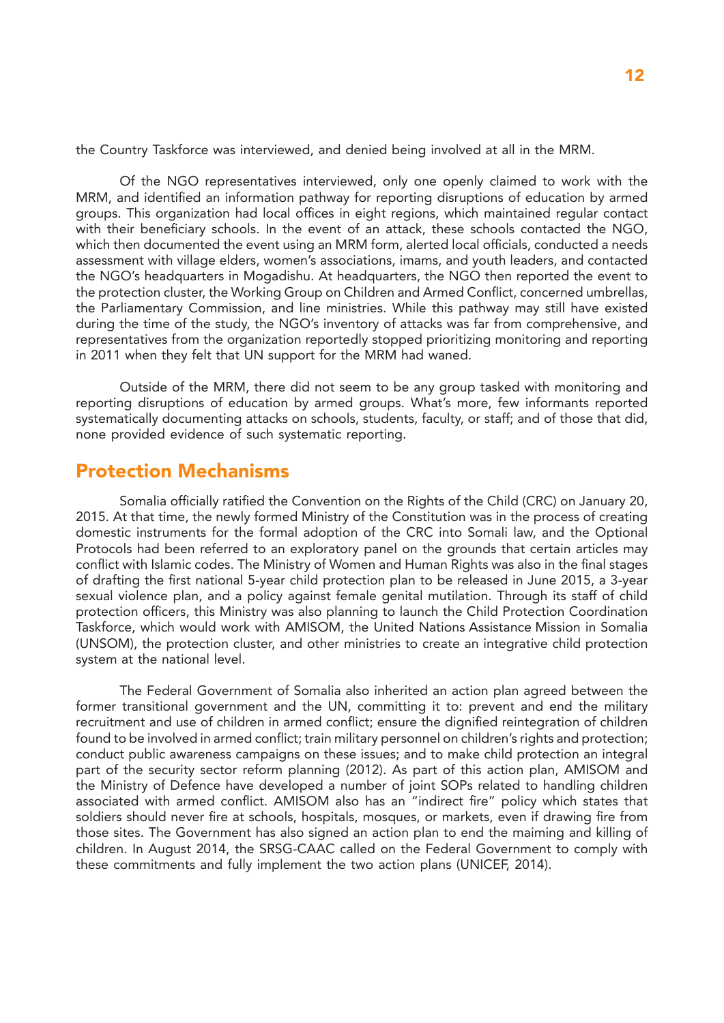<span id="page-15-0"></span>the Country Taskforce was interviewed, and denied being involved at all in the MRM.

Of the NGO representatives interviewed, only one openly claimed to work with the MRM, and identified an information pathway for reporting disruptions of education by armed groups. This organization had local offices in eight regions, which maintained regular contact with their beneficiary schools. In the event of an attack, these schools contacted the NGO, which then documented the event using an MRM form, alerted local officials, conducted a needs assessment with village elders, women's associations, imams, and youth leaders, and contacted the NGO's headquarters in Mogadishu. At headquarters, the NGO then reported the event to the protection cluster, the Working Group on Children and Armed Conflict, concerned umbrellas, the Parliamentary Commission, and line ministries. While this pathway may still have existed during the time of the study, the NGO's inventory of attacks was far from comprehensive, and representatives from the organization reportedly stopped prioritizing monitoring and reporting in 2011 when they felt that UN support for the MRM had waned.

Outside of the MRM, there did not seem to be any group tasked with monitoring and reporting disruptions of education by armed groups. What's more, few informants reported systematically documenting attacks on schools, students, faculty, or staff; and of those that did, none provided evidence of such systematic reporting.

#### Protection Mechanisms

Somalia officially ratified the Convention on the Rights of the Child (CRC) on January 20, 2015. At that time, the newly formed Ministry of the Constitution was in the process of creating domestic instruments for the formal adoption of the CRC into Somali law, and the Optional Protocols had been referred to an exploratory panel on the grounds that certain articles may conflict with Islamic codes. The Ministry of Women and Human Rights was also in the final stages of drafting the first national 5-year child protection plan to be released in June 2015, a 3-year sexual violence plan, and a policy against female genital mutilation. Through its staff of child protection officers, this Ministry was also planning to launch the Child Protection Coordination Taskforce, which would work with AMISOM, the United Nations Assistance Mission in Somalia (UNSOM), the protection cluster, and other ministries to create an integrative child protection system at the national level.

The Federal Government of Somalia also inherited an action plan agreed between the former transitional government and the UN, committing it to: prevent and end the military recruitment and use of children in armed conflict; ensure the dignified reintegration of children found to be involved in armed conflict; train military personnel on children's rights and protection; conduct public awareness campaigns on these issues; and to make child protection an integral part of the security sector reform planning (2012). As part of this action plan, AMISOM and the Ministry of Defence have developed a number of joint SOPs related to handling children associated with armed conflict. AMISOM also has an "indirect fire" policy which states that soldiers should never fire at schools, hospitals, mosques, or markets, even if drawing fire from those sites. The Government has also signed an action plan to end the maiming and killing of children. In August 2014, the SRSG-CAAC called on the Federal Government to comply with these commitments and fully implement the two action plans (UNICEF, 2014).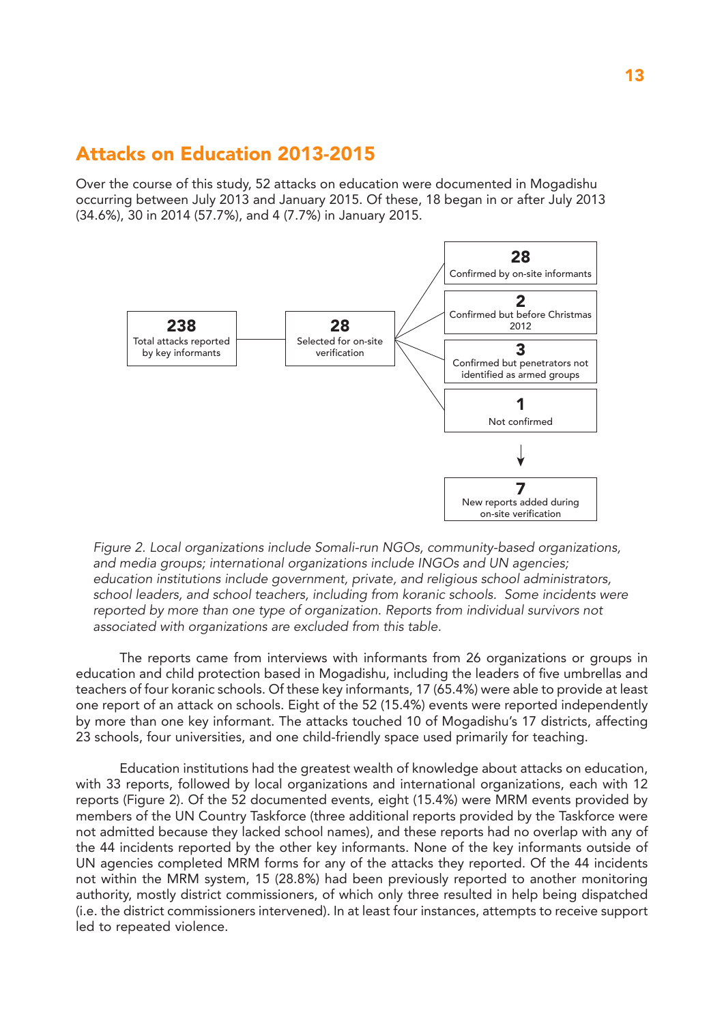#### <span id="page-16-0"></span>Attacks on Education 2013-2015

Over the course of this study, 52 attacks on education were documented in Mogadishu occurring between July 2013 and January 2015. Of these, 18 began in or after July 2013 (34.6%), 30 in 2014 (57.7%), and 4 (7.7%) in January 2015.



*Figure 2. Local organizations include Somali-run NGOs, community-based organizations, and media groups; international organizations include INGOs and UN agencies; education institutions include government, private, and religious school administrators, school leaders, and school teachers, including from koranic schools. Some incidents were reported by more than one type of organization. Reports from individual survivors not associated with organizations are excluded from this table.*

The reports came from interviews with informants from 26 organizations or groups in education and child protection based in Mogadishu, including the leaders of five umbrellas and teachers of four koranic schools. Of these key informants, 17 (65.4%) were able to provide at least one report of an attack on schools. Eight of the 52 (15.4%) events were reported independently by more than one key informant. The attacks touched 10 of Mogadishu's 17 districts, affecting 23 schools, four universities, and one child-friendly space used primarily for teaching.

Education institutions had the greatest wealth of knowledge about attacks on education, with 33 reports, followed by local organizations and international organizations, each with 12 reports (Figure 2). Of the 52 documented events, eight (15.4%) were MRM events provided by members of the UN Country Taskforce (three additional reports provided by the Taskforce were not admitted because they lacked school names), and these reports had no overlap with any of the 44 incidents reported by the other key informants. None of the key informants outside of UN agencies completed MRM forms for any of the attacks they reported. Of the 44 incidents not within the MRM system, 15 (28.8%) had been previously reported to another monitoring authority, mostly district commissioners, of which only three resulted in help being dispatched (i.e. the district commissioners intervened). In at least four instances, attempts to receive support led to repeated violence.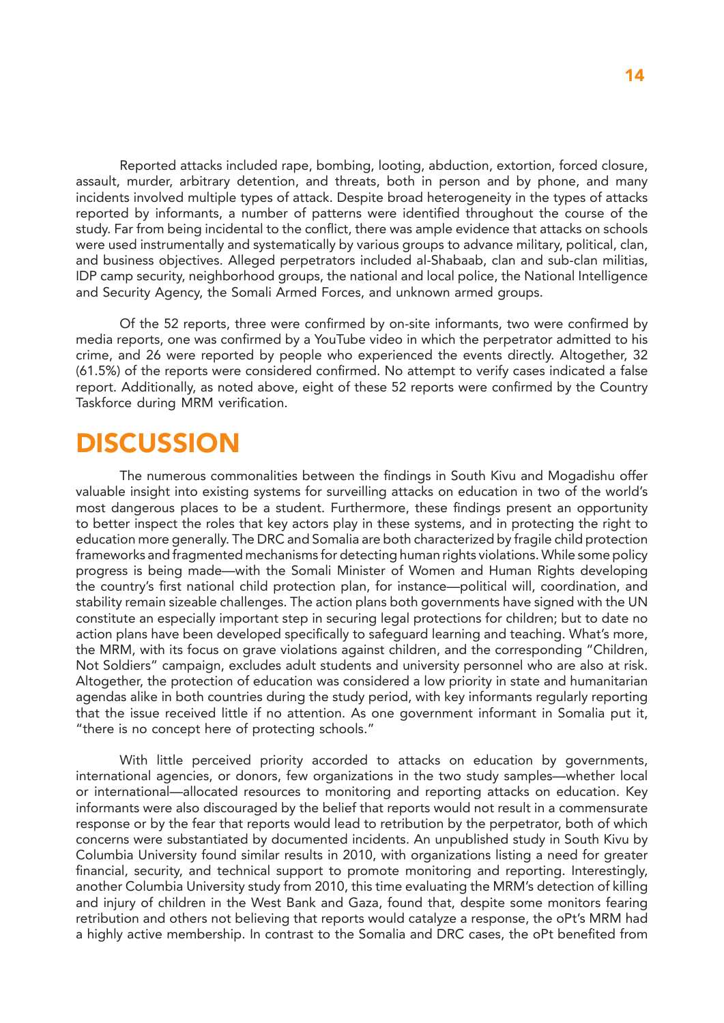<span id="page-17-0"></span>Reported attacks included rape, bombing, looting, abduction, extortion, forced closure, assault, murder, arbitrary detention, and threats, both in person and by phone, and many incidents involved multiple types of attack. Despite broad heterogeneity in the types of attacks reported by informants, a number of patterns were identified throughout the course of the study. Far from being incidental to the conflict, there was ample evidence that attacks on schools were used instrumentally and systematically by various groups to advance military, political, clan, and business objectives. Alleged perpetrators included al-Shabaab, clan and sub-clan militias, IDP camp security, neighborhood groups, the national and local police, the National Intelligence and Security Agency, the Somali Armed Forces, and unknown armed groups.

Of the 52 reports, three were confirmed by on-site informants, two were confirmed by media reports, one was confirmed by a YouTube video in which the perpetrator admitted to his crime, and 26 were reported by people who experienced the events directly. Altogether, 32 (61.5%) of the reports were considered confirmed. No attempt to verify cases indicated a false report. Additionally, as noted above, eight of these 52 reports were confirmed by the Country Taskforce during MRM verification.

### **DISCUSSION**

The numerous commonalities between the findings in South Kivu and Mogadishu offer valuable insight into existing systems for surveilling attacks on education in two of the world's most dangerous places to be a student. Furthermore, these findings present an opportunity to better inspect the roles that key actors play in these systems, and in protecting the right to education more generally. The DRC and Somalia are both characterized by fragile child protection frameworks and fragmented mechanisms for detecting human rights violations. While some policy progress is being made—with the Somali Minister of Women and Human Rights developing the country's first national child protection plan, for instance—political will, coordination, and stability remain sizeable challenges. The action plans both governments have signed with the UN constitute an especially important step in securing legal protections for children; but to date no action plans have been developed specifically to safeguard learning and teaching. What's more, the MRM, with its focus on grave violations against children, and the corresponding "Children, Not Soldiers" campaign, excludes adult students and university personnel who are also at risk. Altogether, the protection of education was considered a low priority in state and humanitarian agendas alike in both countries during the study period, with key informants regularly reporting that the issue received little if no attention. As one government informant in Somalia put it, "there is no concept here of protecting schools."

With little perceived priority accorded to attacks on education by governments, international agencies, or donors, few organizations in the two study samples—whether local or international—allocated resources to monitoring and reporting attacks on education. Key informants were also discouraged by the belief that reports would not result in a commensurate response or by the fear that reports would lead to retribution by the perpetrator, both of which concerns were substantiated by documented incidents. An unpublished study in South Kivu by Columbia University found similar results in 2010, with organizations listing a need for greater financial, security, and technical support to promote monitoring and reporting. Interestingly, another Columbia University study from 2010, this time evaluating the MRM's detection of killing and injury of children in the West Bank and Gaza, found that, despite some monitors fearing retribution and others not believing that reports would catalyze a response, the oPt's MRM had a highly active membership. In contrast to the Somalia and DRC cases, the oPt benefited from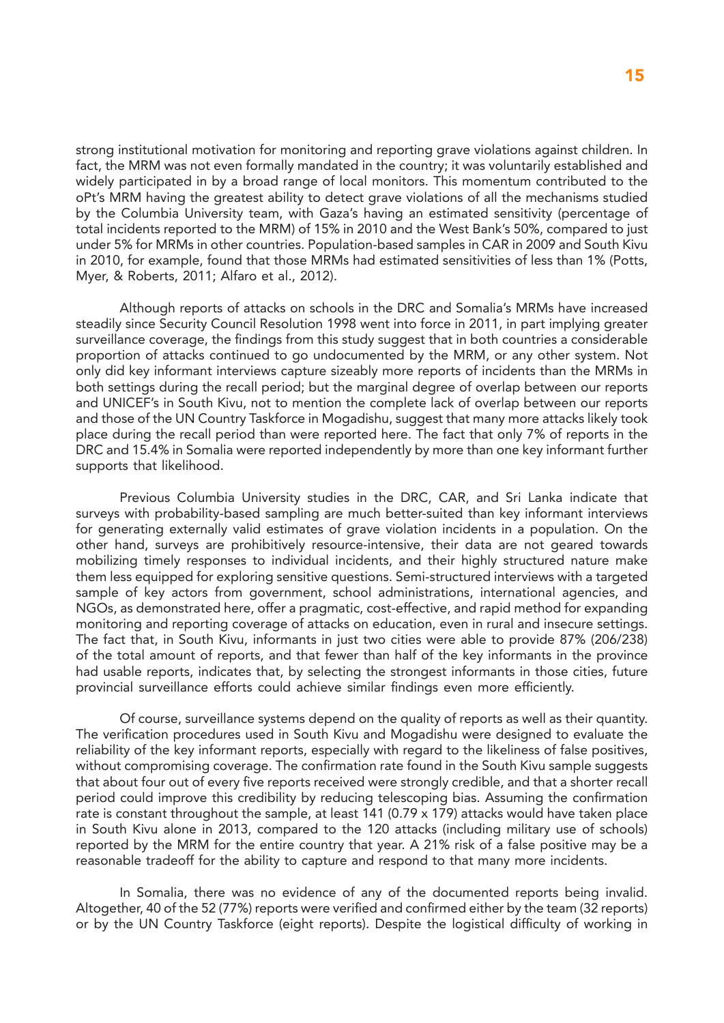strong institutional motivation for monitoring and reporting grave violations against children. In fact, the MRM was not even formally mandated in the country; it was voluntarily established and widely participated in by a broad range of local monitors. This momentum contributed to the oPt's MRM having the greatest ability to detect grave violations of all the mechanisms studied by the Columbia University team, with Gaza's having an estimated sensitivity (percentage of total incidents reported to the MRM) of 15% in 2010 and the West Bank's 50%, compared to just under 5% for MRMs in other countries. Population-based samples in CAR in 2009 and South Kivu in 2010, for example, found that those MRMs had estimated sensitivities of less than 1% (Potts, Myer, & Roberts, 2011; Alfaro et al., 2012).

Although reports of attacks on schools in the DRC and Somalia's MRMs have increased steadily since Security Council Resolution 1998 went into force in 2011, in part implying greater surveillance coverage, the findings from this study suggest that in both countries a considerable proportion of attacks continued to go undocumented by the MRM, or any other system. Not only did key informant interviews capture sizeably more reports of incidents than the MRMs in both settings during the recall period; but the marginal degree of overlap between our reports and UNICEF's in South Kivu, not to mention the complete lack of overlap between our reports and those of the UN Country Taskforce in Mogadishu, suggest that many more attacks likely took place during the recall period than were reported here. The fact that only 7% of reports in the DRC and 15.4% in Somalia were reported independently by more than one key informant further supports that likelihood.

Previous Columbia University studies in the DRC, CAR, and Sri Lanka indicate that surveys with probability-based sampling are much better-suited than key informant interviews for generating externally valid estimates of grave violation incidents in a population. On the other hand, surveys are prohibitively resource-intensive, their data are not geared towards mobilizing timely responses to individual incidents, and their highly structured nature make them less equipped for exploring sensitive questions. Semi-structured interviews with a targeted sample of key actors from government, school administrations, international agencies, and NGOs, as demonstrated here, offer a pragmatic, cost-effective, and rapid method for expanding monitoring and reporting coverage of attacks on education, even in rural and insecure settings. The fact that, in South Kivu, informants in just two cities were able to provide 87% (206/238) of the total amount of reports, and that fewer than half of the key informants in the province had usable reports, indicates that, by selecting the strongest informants in those cities, future provincial surveillance efforts could achieve similar findings even more efficiently.

Of course, surveillance systems depend on the quality of reports as well as their quantity. The verification procedures used in South Kivu and Mogadishu were designed to evaluate the reliability of the key informant reports, especially with regard to the likeliness of false positives, without compromising coverage. The confirmation rate found in the South Kivu sample suggests that about four out of every five reports received were strongly credible, and that a shorter recall period could improve this credibility by reducing telescoping bias. Assuming the confirmation rate is constant throughout the sample, at least 141 (0.79 x 179) attacks would have taken place in South Kivu alone in 2013, compared to the 120 attacks (including military use of schools) reported by the MRM for the entire country that year. A 21% risk of a false positive may be a reasonable tradeoff for the ability to capture and respond to that many more incidents.

In Somalia, there was no evidence of any of the documented reports being invalid. Altogether, 40 of the 52 (77%) reports were verified and confirmed either by the team (32 reports) or by the UN Country Taskforce (eight reports). Despite the logistical difficulty of working in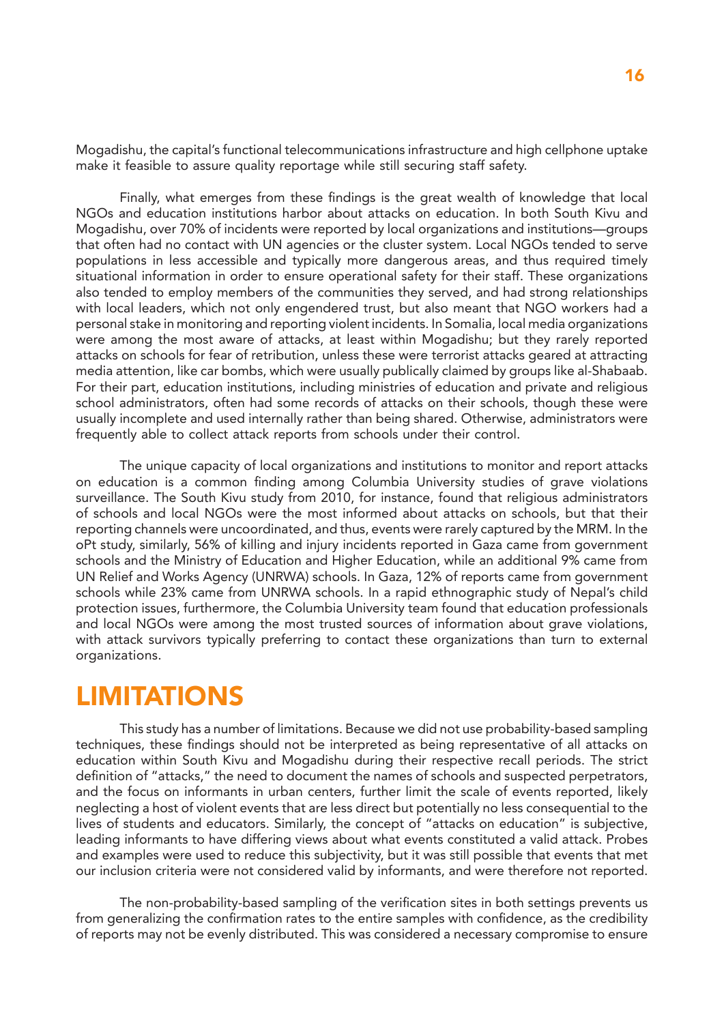<span id="page-19-0"></span>Mogadishu, the capital's functional telecommunications infrastructure and high cellphone uptake make it feasible to assure quality reportage while still securing staff safety.

Finally, what emerges from these findings is the great wealth of knowledge that local NGOs and education institutions harbor about attacks on education. In both South Kivu and Mogadishu, over 70% of incidents were reported by local organizations and institutions—groups that often had no contact with UN agencies or the cluster system. Local NGOs tended to serve populations in less accessible and typically more dangerous areas, and thus required timely situational information in order to ensure operational safety for their staff. These organizations also tended to employ members of the communities they served, and had strong relationships with local leaders, which not only engendered trust, but also meant that NGO workers had a personal stake in monitoring and reporting violent incidents. In Somalia, local media organizations were among the most aware of attacks, at least within Mogadishu; but they rarely reported attacks on schools for fear of retribution, unless these were terrorist attacks geared at attracting media attention, like car bombs, which were usually publically claimed by groups like al-Shabaab. For their part, education institutions, including ministries of education and private and religious school administrators, often had some records of attacks on their schools, though these were usually incomplete and used internally rather than being shared. Otherwise, administrators were frequently able to collect attack reports from schools under their control.

The unique capacity of local organizations and institutions to monitor and report attacks on education is a common finding among Columbia University studies of grave violations surveillance. The South Kivu study from 2010, for instance, found that religious administrators of schools and local NGOs were the most informed about attacks on schools, but that their reporting channels were uncoordinated, and thus, events were rarely captured by the MRM. In the oPt study, similarly, 56% of killing and injury incidents reported in Gaza came from government schools and the Ministry of Education and Higher Education, while an additional 9% came from UN Relief and Works Agency (UNRWA) schools. In Gaza, 12% of reports came from government schools while 23% came from UNRWA schools. In a rapid ethnographic study of Nepal's child protection issues, furthermore, the Columbia University team found that education professionals and local NGOs were among the most trusted sources of information about grave violations, with attack survivors typically preferring to contact these organizations than turn to external organizations.

### LIMITATIONS

This study has a number of limitations. Because we did not use probability-based sampling techniques, these findings should not be interpreted as being representative of all attacks on education within South Kivu and Mogadishu during their respective recall periods. The strict definition of "attacks," the need to document the names of schools and suspected perpetrators, and the focus on informants in urban centers, further limit the scale of events reported, likely neglecting a host of violent events that are less direct but potentially no less consequential to the lives of students and educators. Similarly, the concept of "attacks on education" is subjective, leading informants to have differing views about what events constituted a valid attack. Probes and examples were used to reduce this subjectivity, but it was still possible that events that met our inclusion criteria were not considered valid by informants, and were therefore not reported.

The non-probability-based sampling of the verification sites in both settings prevents us from generalizing the confirmation rates to the entire samples with confidence, as the credibility of reports may not be evenly distributed. This was considered a necessary compromise to ensure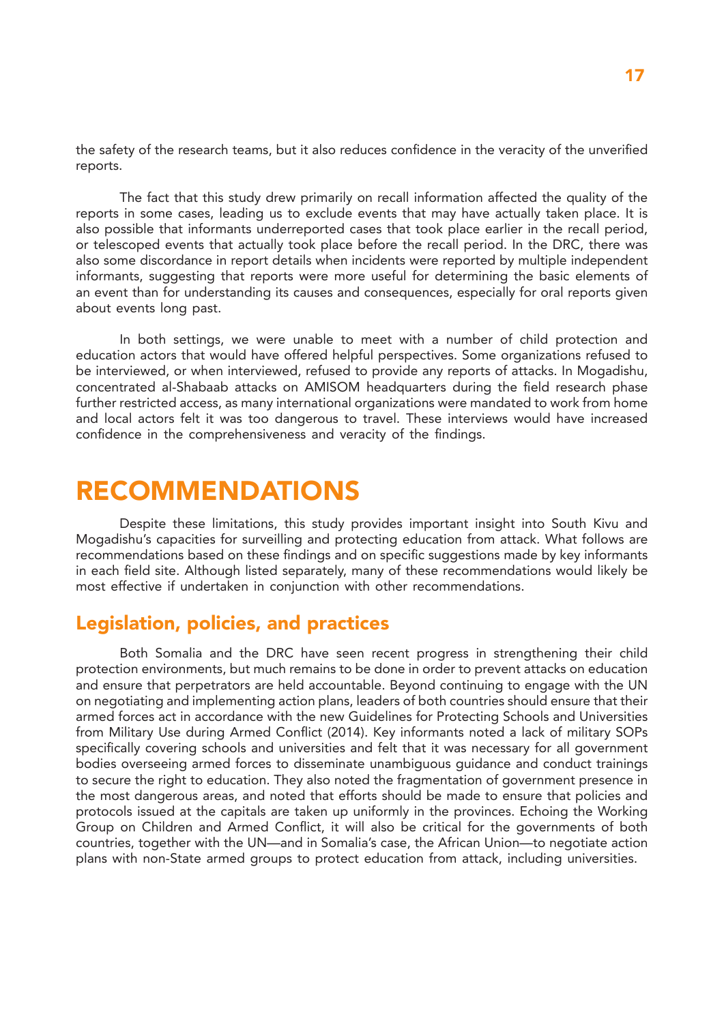<span id="page-20-0"></span>the safety of the research teams, but it also reduces confidence in the veracity of the unverified reports.

The fact that this study drew primarily on recall information affected the quality of the reports in some cases, leading us to exclude events that may have actually taken place. It is also possible that informants underreported cases that took place earlier in the recall period, or telescoped events that actually took place before the recall period. In the DRC, there was also some discordance in report details when incidents were reported by multiple independent informants, suggesting that reports were more useful for determining the basic elements of an event than for understanding its causes and consequences, especially for oral reports given about events long past.

In both settings, we were unable to meet with a number of child protection and education actors that would have offered helpful perspectives. Some organizations refused to be interviewed, or when interviewed, refused to provide any reports of attacks. In Mogadishu, concentrated al-Shabaab attacks on AMISOM headquarters during the field research phase further restricted access, as many international organizations were mandated to work from home and local actors felt it was too dangerous to travel. These interviews would have increased confidence in the comprehensiveness and veracity of the findings.

### RECOMMENDATIONS

Despite these limitations, this study provides important insight into South Kivu and Mogadishu's capacities for surveilling and protecting education from attack. What follows are recommendations based on these findings and on specific suggestions made by key informants in each field site. Although listed separately, many of these recommendations would likely be most effective if undertaken in conjunction with other recommendations.

#### Legislation, policies, and practices

Both Somalia and the DRC have seen recent progress in strengthening their child protection environments, but much remains to be done in order to prevent attacks on education and ensure that perpetrators are held accountable. Beyond continuing to engage with the UN on negotiating and implementing action plans, leaders of both countries should ensure that their armed forces act in accordance with the new Guidelines for Protecting Schools and Universities from Military Use during Armed Conflict (2014). Key informants noted a lack of military SOPs specifically covering schools and universities and felt that it was necessary for all government bodies overseeing armed forces to disseminate unambiguous guidance and conduct trainings to secure the right to education. They also noted the fragmentation of government presence in the most dangerous areas, and noted that efforts should be made to ensure that policies and protocols issued at the capitals are taken up uniformly in the provinces. Echoing the Working Group on Children and Armed Conflict, it will also be critical for the governments of both countries, together with the UN—and in Somalia's case, the African Union—to negotiate action plans with non-State armed groups to protect education from attack, including universities.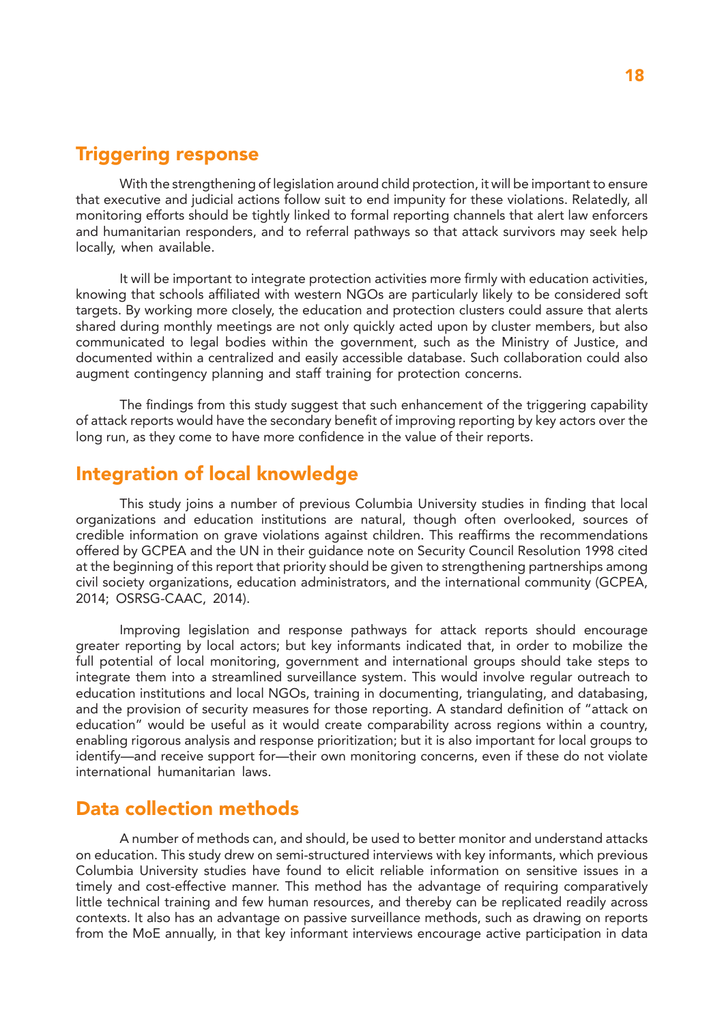#### <span id="page-21-0"></span>Triggering response

With the strengthening of legislation around child protection, it will be important to ensure that executive and judicial actions follow suit to end impunity for these violations. Relatedly, all monitoring efforts should be tightly linked to formal reporting channels that alert law enforcers and humanitarian responders, and to referral pathways so that attack survivors may seek help locally, when available.

It will be important to integrate protection activities more firmly with education activities, knowing that schools affiliated with western NGOs are particularly likely to be considered soft targets. By working more closely, the education and protection clusters could assure that alerts shared during monthly meetings are not only quickly acted upon by cluster members, but also communicated to legal bodies within the government, such as the Ministry of Justice, and documented within a centralized and easily accessible database. Such collaboration could also augment contingency planning and staff training for protection concerns.

The findings from this study suggest that such enhancement of the triggering capability of attack reports would have the secondary benefit of improving reporting by key actors over the long run, as they come to have more confidence in the value of their reports.

#### Integration of local knowledge

This study joins a number of previous Columbia University studies in finding that local organizations and education institutions are natural, though often overlooked, sources of credible information on grave violations against children. This reaffirms the recommendations offered by GCPEA and the UN in their guidance note on Security Council Resolution 1998 cited at the beginning of this report that priority should be given to strengthening partnerships among civil society organizations, education administrators, and the international community (GCPEA, 2014; OSRSG-CAAC, 2014).

Improving legislation and response pathways for attack reports should encourage greater reporting by local actors; but key informants indicated that, in order to mobilize the full potential of local monitoring, government and international groups should take steps to integrate them into a streamlined surveillance system. This would involve regular outreach to education institutions and local NGOs, training in documenting, triangulating, and databasing, and the provision of security measures for those reporting. A standard definition of "attack on education" would be useful as it would create comparability across regions within a country, enabling rigorous analysis and response prioritization; but it is also important for local groups to identify—and receive support for—their own monitoring concerns, even if these do not violate international humanitarian laws.

#### Data collection methods

A number of methods can, and should, be used to better monitor and understand attacks on education. This study drew on semi-structured interviews with key informants, which previous Columbia University studies have found to elicit reliable information on sensitive issues in a timely and cost-effective manner. This method has the advantage of requiring comparatively little technical training and few human resources, and thereby can be replicated readily across contexts. It also has an advantage on passive surveillance methods, such as drawing on reports from the MoE annually, in that key informant interviews encourage active participation in data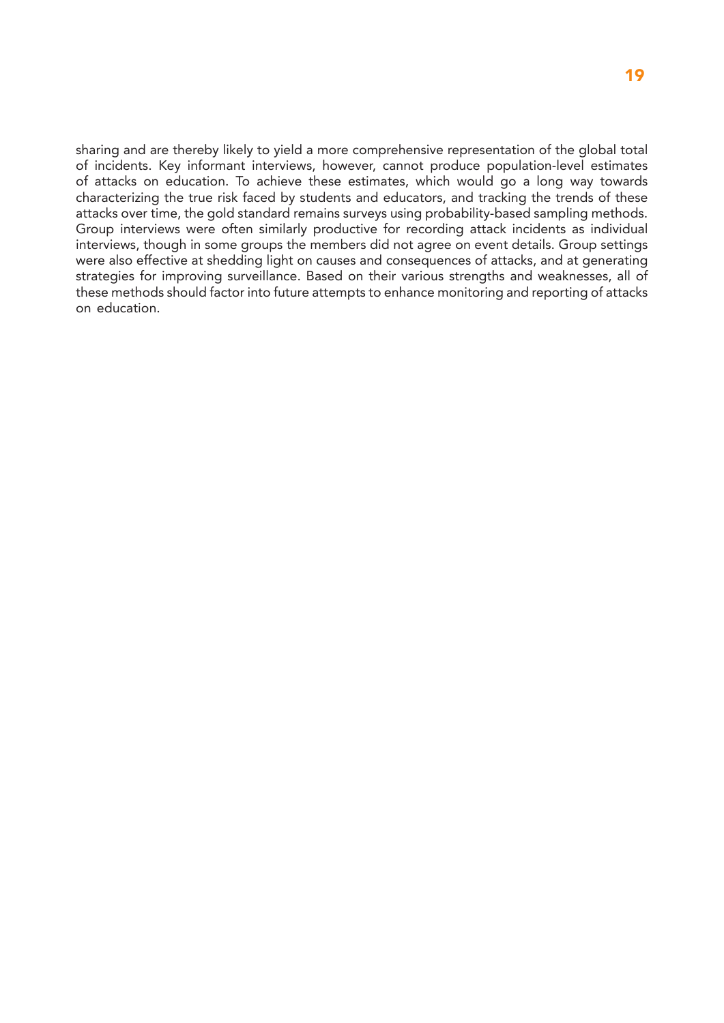sharing and are thereby likely to yield a more comprehensive representation of the global total of incidents. Key informant interviews, however, cannot produce population-level estimates of attacks on education. To achieve these estimates, which would go a long way towards characterizing the true risk faced by students and educators, and tracking the trends of these attacks over time, the gold standard remains surveys using probability-based sampling methods. Group interviews were often similarly productive for recording attack incidents as individual interviews, though in some groups the members did not agree on event details. Group settings were also effective at shedding light on causes and consequences of attacks, and at generating strategies for improving surveillance. Based on their various strengths and weaknesses, all of these methods should factor into future attempts to enhance monitoring and reporting of attacks on education.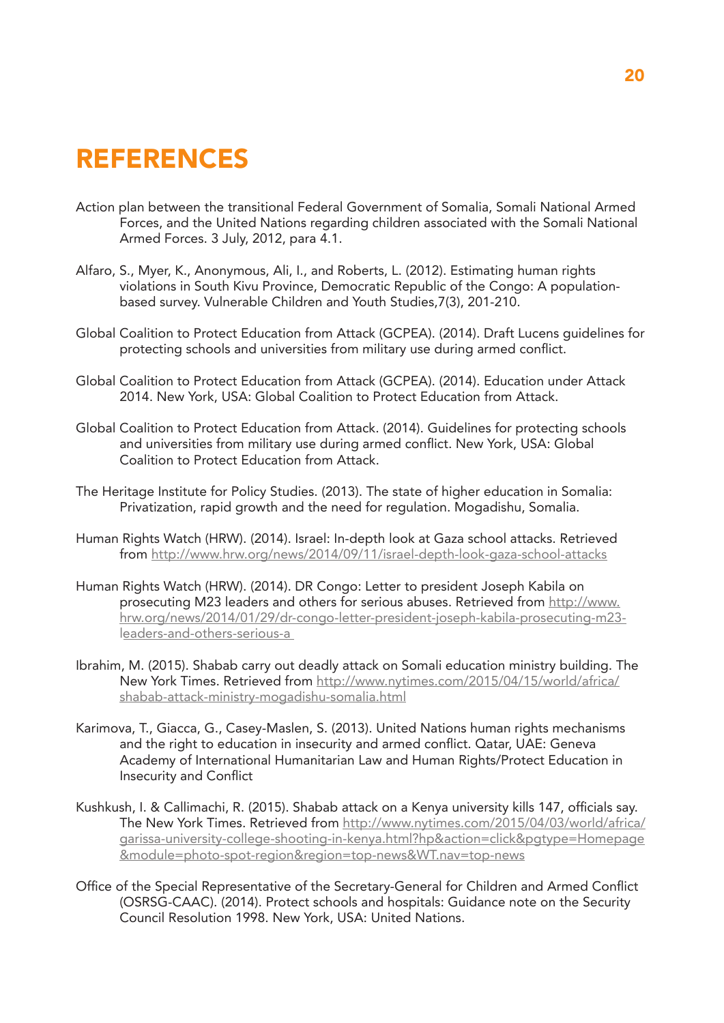## <span id="page-23-0"></span>REFERENCES

- Action plan between the transitional Federal Government of Somalia, Somali National Armed Forces, and the United Nations regarding children associated with the Somali National Armed Forces. 3 July, 2012, para 4.1.
- Alfaro, S., Myer, K., Anonymous, Ali, I., and Roberts, L. (2012). Estimating human rights violations in South Kivu Province, Democratic Republic of the Congo: A populationbased survey. Vulnerable Children and Youth Studies,7(3), 201-210.
- Global Coalition to Protect Education from Attack (GCPEA). (2014). Draft Lucens guidelines for protecting schools and universities from military use during armed conflict.
- Global Coalition to Protect Education from Attack (GCPEA). (2014). Education under Attack 2014. New York, USA: Global Coalition to Protect Education from Attack.
- Global Coalition to Protect Education from Attack. (2014). Guidelines for protecting schools and universities from military use during armed conflict. New York, USA: Global Coalition to Protect Education from Attack.
- The Heritage Institute for Policy Studies. (2013). The state of higher education in Somalia: Privatization, rapid growth and the need for regulation. Mogadishu, Somalia.
- Human Rights Watch (HRW). (2014). [Israel: In-depth look at Gaza school attacks](http://www.hrw.org/news/2014/09/11/israel-depth-look-gaza-school-attacks). Retrieved from<http://www.hrw.org/news/2014/09/11/israel-depth-look-gaza-school-attacks>
- Human Rights Watch (HRW). (2014). [DR Congo: Letter to president Joseph Kabila on](file:///C:\Users\Cyril\Desktop\Research\Education%20under%20attack\Deliverables\DR%20Congo:%20Letter%20to%20president%20Joseph%20Kabila%20on%20prosecuting%20M23%20leaders%20and%20others%20for%20serious%20abuses)  [prosecuting M23 leaders and others for serious abuses.](file:///C:\Users\Cyril\Desktop\Research\Education%20under%20attack\Deliverables\DR%20Congo:%20Letter%20to%20president%20Joseph%20Kabila%20on%20prosecuting%20M23%20leaders%20and%20others%20for%20serious%20abuses) Retrieved from [http://www.](http://www.hrw.org/news/2014/01/29/dr-congo-letter-president-joseph-kabila-prosecuting-m23-leaders-and-others-serious-a) [hrw.org/news/2014/01/29/dr-congo-letter-president-joseph-kabila-prosecuting-m23](http://www.hrw.org/news/2014/01/29/dr-congo-letter-president-joseph-kabila-prosecuting-m23-leaders-and-others-serious-a) [leaders-and-others-serious-a](http://www.hrw.org/news/2014/01/29/dr-congo-letter-president-joseph-kabila-prosecuting-m23-leaders-and-others-serious-a)
- Ibrahim, M. (2015). Shabab carry out deadly attack on Somali education ministry building. The New York Times. Retrieved from [http://www.nytimes.com/2015/04/15/world/africa/](http://www.nytimes.com/2015/04/15/world/africa/shabab-attack-ministry-mogadishu-somalia.html) [shabab-attack-ministry-mogadishu-somalia.html](http://www.nytimes.com/2015/04/15/world/africa/shabab-attack-ministry-mogadishu-somalia.html)
- Karimova, T., Giacca, G., Casey-Maslen, S. (2013). United Nations human rights mechanisms and the right to education in insecurity and armed conflict. Qatar, UAE: Geneva Academy of International Humanitarian Law and Human Rights/Protect Education in Insecurity and Conflict
- Kushkush, I. & Callimachi, R. (2015). Shabab attack on a Kenya university kills 147, officials say. The New York Times. Retrieved from http://www.nytimes.com/2015/04/03/world/africa/ garissa-university-college-shooting-in-kenya.html?hp&action=click&pgtype=Homepage &module=photo-spot-region&region=top-news&WT.nav=top-news
- Office of the Special Representative of the Secretary-General for Children and Armed Conflict (OSRSG-CAAC). (2014). Protect schools and hospitals: Guidance note on the Security Council Resolution 1998. New York, USA: United Nations.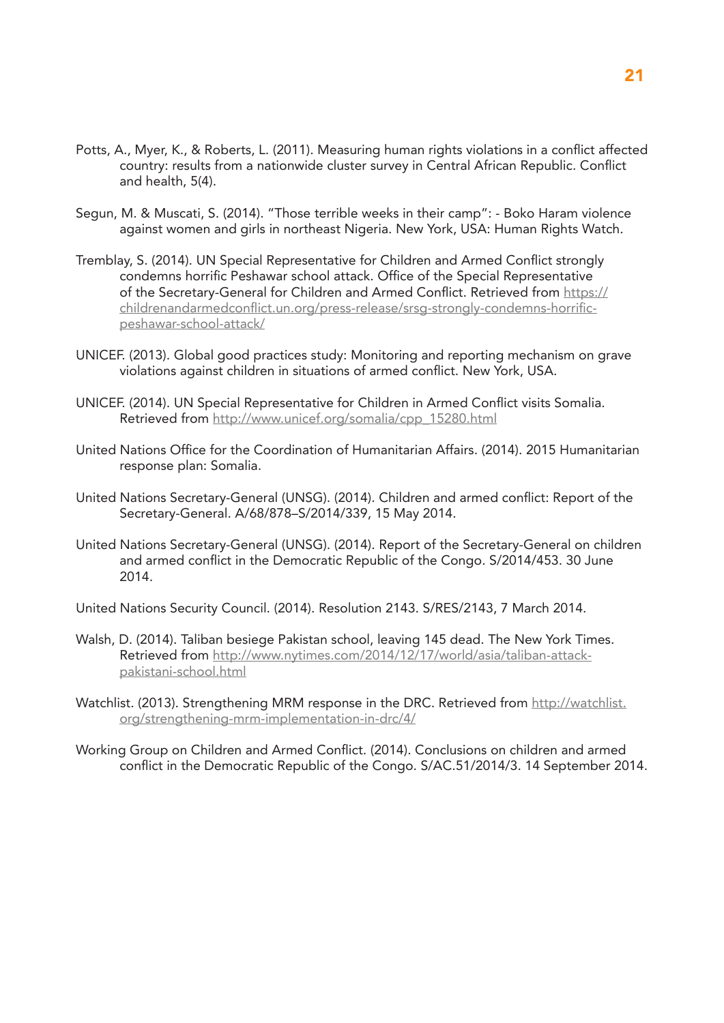- Potts, A., Myer, K., & Roberts, L. (2011). Measuring human rights violations in a conflict affected country: results from a nationwide cluster survey in Central African Republic. Conflict and health, 5(4).
- Segun, M. & Muscati, S. (2014). "Those terrible weeks in their camp": Boko Haram violence against women and girls in northeast Nigeria. New York, USA: Human Rights Watch.
- Tremblay, S. (2014). UN Special Representative for Children and Armed Conflict strongly condemns horrific Peshawar school attack. Office of the Special Representative of the Secretary-General for Children and Armed Conflict. Retrieved from [https://](https://childrenandarmedconflict.un.org/press-release/srsg-strongly-condemns-horrific-peshawar-school-attack/) [childrenandarmedconflict.un.org/press-release/srsg-strongly-condemns-horrific](https://childrenandarmedconflict.un.org/press-release/srsg-strongly-condemns-horrific-peshawar-school-attack/)[peshawar-school-attack/](https://childrenandarmedconflict.un.org/press-release/srsg-strongly-condemns-horrific-peshawar-school-attack/)
- UNICEF. (2013). Global good practices study: Monitoring and reporting mechanism on grave violations against children in situations of armed conflict. New York, USA.
- UNICEF. (2014). UN Special Representative for Children in Armed Conflict visits Somalia. Retrieved from [http://www.unicef.org/somalia/cpp\\_15280.html](http://www.unicef.org/somalia/cpp_15280.html)
- United Nations Office for the Coordination of Humanitarian Affairs. (2014). 2015 Humanitarian response plan: Somalia.
- United Nations Secretary-General (UNSG). (2014). Children and armed conflict: Report of the Secretary-General. A/68/878–S/2014/339, 15 May 2014.
- United Nations Secretary-General (UNSG). (2014). Report of the Secretary-General on children and armed conflict in the Democratic Republic of the Congo. S/2014/453. 30 June 2014.
- United Nations Security Council. (2014). Resolution 2143. S/RES/2143, 7 March 2014.
- Walsh, D. (2014). Taliban besiege Pakistan school, leaving 145 dead. The New York Times. Retrieved from [http://www.nytimes.com/2014/12/17/world/asia/taliban-attack](http://www.nytimes.com/2014/12/17/world/asia/taliban-attack-pakistani-school.html)[pakistani-school.html](http://www.nytimes.com/2014/12/17/world/asia/taliban-attack-pakistani-school.html)
- Watchlist. (2013). Strengthening MRM response in the DRC. Retrieved from [http://watchlist.](http://watchlist.org/strengthening-mrm-implementation-in-drc/4/) [org/strengthening-mrm-implementation-in-drc/4/](http://watchlist.org/strengthening-mrm-implementation-in-drc/4/)
- Working Group on Children and Armed Conflict. (2014). Conclusions on children and armed conflict in the Democratic Republic of the Congo. S/AC.51/2014/3. 14 September 2014.